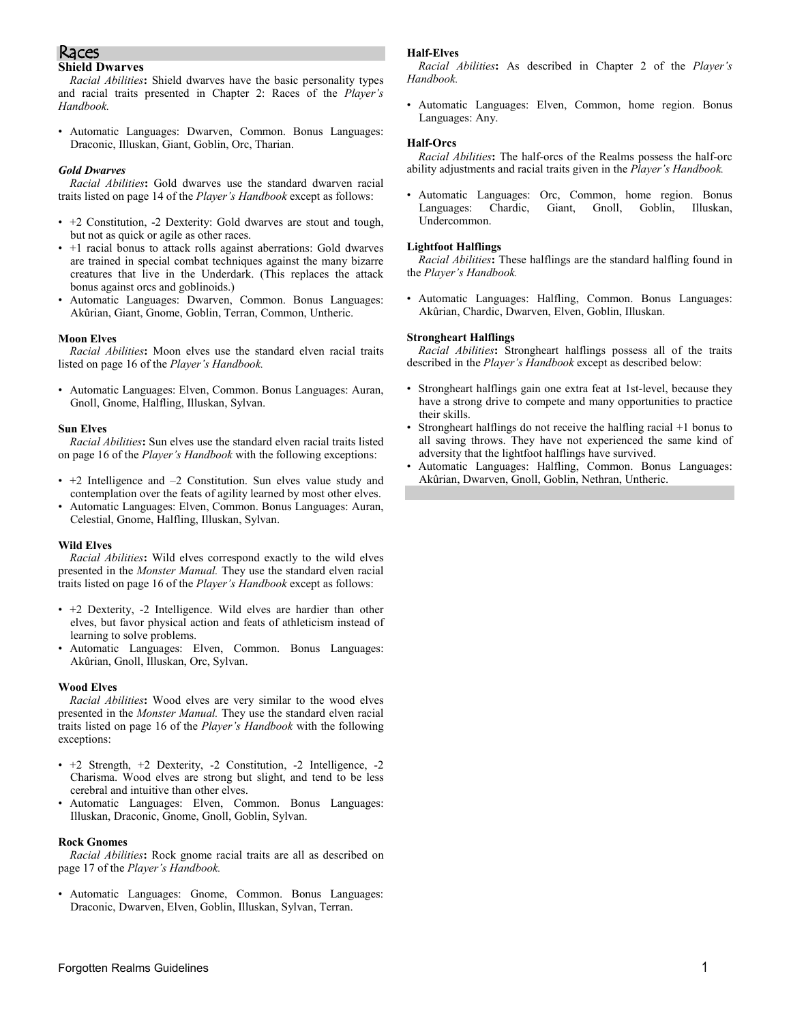# Races **Shield Dwarves**

*Racial Abilities***:** Shield dwarves have the basic personality types and racial traits presented in Chapter 2: Races of the *Player's Handbook.*

ï Automatic Languages: Dwarven, Common. Bonus Languages: Draconic, Illuskan, Giant, Goblin, Orc, Tharian.

#### *Gold Dwarves*

*Racial Abilities***:** Gold dwarves use the standard dwarven racial traits listed on page 14 of the *Player's Handbook* except as follows:

- $\cdot$  +2 Constitution, -2 Dexterity: Gold dwarves are stout and tough, but not as quick or agile as other races.
- +1 racial bonus to attack rolls against aberrations: Gold dwarves are trained in special combat techniques against the many bizarre creatures that live in the Underdark. (This replaces the attack bonus against orcs and goblinoids.)
- Automatic Languages: Dwarven, Common. Bonus Languages: Akûrian, Giant, Gnome, Goblin, Terran, Common, Untheric.

#### **Moon Elves**

*Racial Abilities***:** Moon elves use the standard elven racial traits listed on page 16 of the *Player's Handbook*.

ï Automatic Languages: Elven, Common. Bonus Languages: Auran, Gnoll, Gnome, Halfling, Illuskan, Sylvan.

#### **Sun Elves**

*Racial Abilities***:** Sun elves use the standard elven racial traits listed on page 16 of the *Player's Handbook* with the following exceptions:

- $\cdot$  +2 Intelligence and  $-2$  Constitution. Sun elves value study and contemplation over the feats of agility learned by most other elves.
- Automatic Languages: Elven, Common. Bonus Languages: Auran, Celestial, Gnome, Halfling, Illuskan, Sylvan.

#### **Wild Elves**

*Racial Abilities***:** Wild elves correspond exactly to the wild elves presented in the *Monster Manual.* They use the standard elven racial traits listed on page 16 of the *Player's Handbook* except as follows:

- $\cdot$  +2 Dexterity, -2 Intelligence. Wild elves are hardier than other elves, but favor physical action and feats of athleticism instead of learning to solve problems.
- Automatic Languages: Elven, Common. Bonus Languages: Akûrian, Gnoll, Illuskan, Orc, Sylvan.

#### **Wood Elves**

*Racial Abilities***:** Wood elves are very similar to the wood elves presented in the *Monster Manual.* They use the standard elven racial traits listed on page 16 of the *Player's Handbook* with the following exceptions:

- ï +2 Strength, +2 Dexterity, -2 Constitution, -2 Intelligence, -2 Charisma. Wood elves are strong but slight, and tend to be less cerebral and intuitive than other elves.
- Automatic Languages: Elven, Common. Bonus Languages: Illuskan, Draconic, Gnome, Gnoll, Goblin, Sylvan.

#### **Rock Gnomes**

*Racial Abilities***:** Rock gnome racial traits are all as described on page 17 of the *Player's Handbook*.

ï Automatic Languages: Gnome, Common. Bonus Languages: Draconic, Dwarven, Elven, Goblin, Illuskan, Sylvan, Terran.

#### **Half-Elves**

*Racial Abilities***:** As described in Chapter 2 of the *Playerís Handbook.* 

ï Automatic Languages: Elven, Common, home region. Bonus Languages: Any.

#### **Half-Orcs**

*Racial Abilities***:** The half-orcs of the Realms possess the half-orc ability adjustments and racial traits given in the *Player's Handbook*.

• Automatic Languages: Orc, Common, home region. Bonus Languages: Chardic, Giant, Gnoll, Goblin, Illuskan, Undercommon.

#### **Lightfoot Halflings**

*Racial Abilities***:** These halflings are the standard halfling found in the *Player's Handbook*.

ï Automatic Languages: Halfling, Common. Bonus Languages: Akûrian, Chardic, Dwarven, Elven, Goblin, Illuskan.

#### **Strongheart Halflings**

*Racial Abilities***:** Strongheart halflings possess all of the traits described in the *Player's Handbook* except as described below:

- Strongheart halflings gain one extra feat at 1st-level, because they have a strong drive to compete and many opportunities to practice their skills.
- Strongheart halflings do not receive the halfling racial  $+1$  bonus to all saving throws. They have not experienced the same kind of adversity that the lightfoot halflings have survived.
- Automatic Languages: Halfling, Common. Bonus Languages: Akûrian, Dwarven, Gnoll, Goblin, Nethran, Untheric.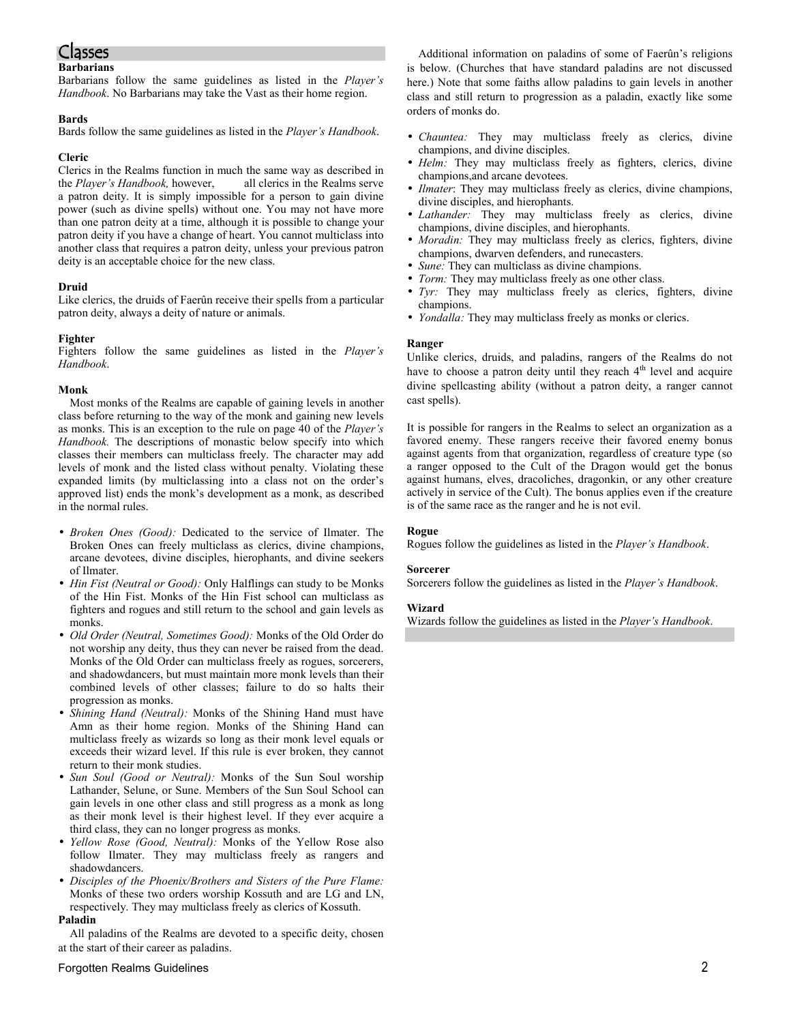# Classes<br><sup>Barbarians</sup>

Barbarians follow the same guidelines as listed in the *Player's Handbook*. No Barbarians may take the Vast as their home region.

# **Bards**

Bards follow the same guidelines as listed in the *Player's Handbook*.

# **Cleric**

Clerics in the Realms function in much the same way as described in the *Player's Handbook*, however, all clerics in the Realms serve a patron deity. It is simply impossible for a person to gain divine power (such as divine spells) without one. You may not have more than one patron deity at a time, although it is possible to change your patron deity if you have a change of heart. You cannot multiclass into another class that requires a patron deity, unless your previous patron deity is an acceptable choice for the new class.

# **Druid**

Like clerics, the druids of Faerûn receive their spells from a particular patron deity, always a deity of nature or animals.

# **Fighter**

Fighters follow the same guidelines as listed in the *Player's Handbook*.

# **Monk**

 Most monks of the Realms are capable of gaining levels in another class before returning to the way of the monk and gaining new levels as monks. This is an exception to the rule on page 40 of the *Player's Handbook.* The descriptions of monastic below specify into which classes their members can multiclass freely. The character may add levels of monk and the listed class without penalty. Violating these expanded limits (by multiclassing into a class not on the order's approved list) ends the monk's development as a monk, as described in the normal rules.

- *Broken Ones (Good):* Dedicated to the service of Ilmater. The Broken Ones can freely multiclass as clerics, divine champions, arcane devotees, divine disciples, hierophants, and divine seekers of Ilmater.
- *Hin Fist (Neutral or Good):* Only Halflings can study to be Monks of the Hin Fist. Monks of the Hin Fist school can multiclass as fighters and rogues and still return to the school and gain levels as monks.
- *Old Order (Neutral, Sometimes Good):* Monks of the Old Order do not worship any deity, thus they can never be raised from the dead. Monks of the Old Order can multiclass freely as rogues, sorcerers, and shadowdancers, but must maintain more monk levels than their combined levels of other classes; failure to do so halts their progression as monks.
- *Shining Hand (Neutral):* Monks of the Shining Hand must have Amn as their home region. Monks of the Shining Hand can multiclass freely as wizards so long as their monk level equals or exceeds their wizard level. If this rule is ever broken, they cannot return to their monk studies.
- *Sun Soul (Good or Neutral):* Monks of the Sun Soul worship Lathander, Selune, or Sune. Members of the Sun Soul School can gain levels in one other class and still progress as a monk as long as their monk level is their highest level. If they ever acquire a third class, they can no longer progress as monks.
- *Yellow Rose (Good, Neutral):* Monks of the Yellow Rose also follow Ilmater. They may multiclass freely as rangers and shadowdancers.
- *Disciples of the Phoenix/Brothers and Sisters of the Pure Flame:* Monks of these two orders worship Kossuth and are LG and LN, respectively. They may multiclass freely as clerics of Kossuth.

#### **Paladin**

 All paladins of the Realms are devoted to a specific deity, chosen at the start of their career as paladins.

Additional information on paladins of some of Faerûn's religions is below. (Churches that have standard paladins are not discussed here.) Note that some faiths allow paladins to gain levels in another class and still return to progression as a paladin, exactly like some orders of monks do.

- *Chauntea:* They may multiclass freely as clerics, divine champions, and divine disciples.
- *Helm:* They may multiclass freely as fighters, clerics, divine champions,and arcane devotees.
- *Ilmater*: They may multiclass freely as clerics, divine champions, divine disciples, and hierophants.
- *Lathander:* They may multiclass freely as clerics, divine champions, divine disciples, and hierophants.
- *Moradin:* They may multiclass freely as clerics, fighters, divine champions, dwarven defenders, and runecasters.
- *Sune:* They can multiclass as divine champions.
- *Torm:* They may multiclass freely as one other class.
- *Tyr:* They may multiclass freely as clerics, fighters, divine champions.
- *Yondalla:* They may multiclass freely as monks or clerics.

# **Ranger**

Unlike clerics, druids, and paladins, rangers of the Realms do not have to choose a patron deity until they reach  $4<sup>th</sup>$  level and acquire divine spellcasting ability (without a patron deity, a ranger cannot cast spells).

It is possible for rangers in the Realms to select an organization as a favored enemy. These rangers receive their favored enemy bonus against agents from that organization, regardless of creature type (so a ranger opposed to the Cult of the Dragon would get the bonus against humans, elves, dracoliches, dragonkin, or any other creature actively in service of the Cult). The bonus applies even if the creature is of the same race as the ranger and he is not evil.

#### **Rogue**

Rogues follow the guidelines as listed in the *Player's Handbook*.

### **Sorcerer**

Sorcerers follow the guidelines as listed in the *Player's Handbook*.

#### **Wizard**

Wizards follow the guidelines as listed in the *Player's Handbook*.

# Forgotten Realms Guidelines 2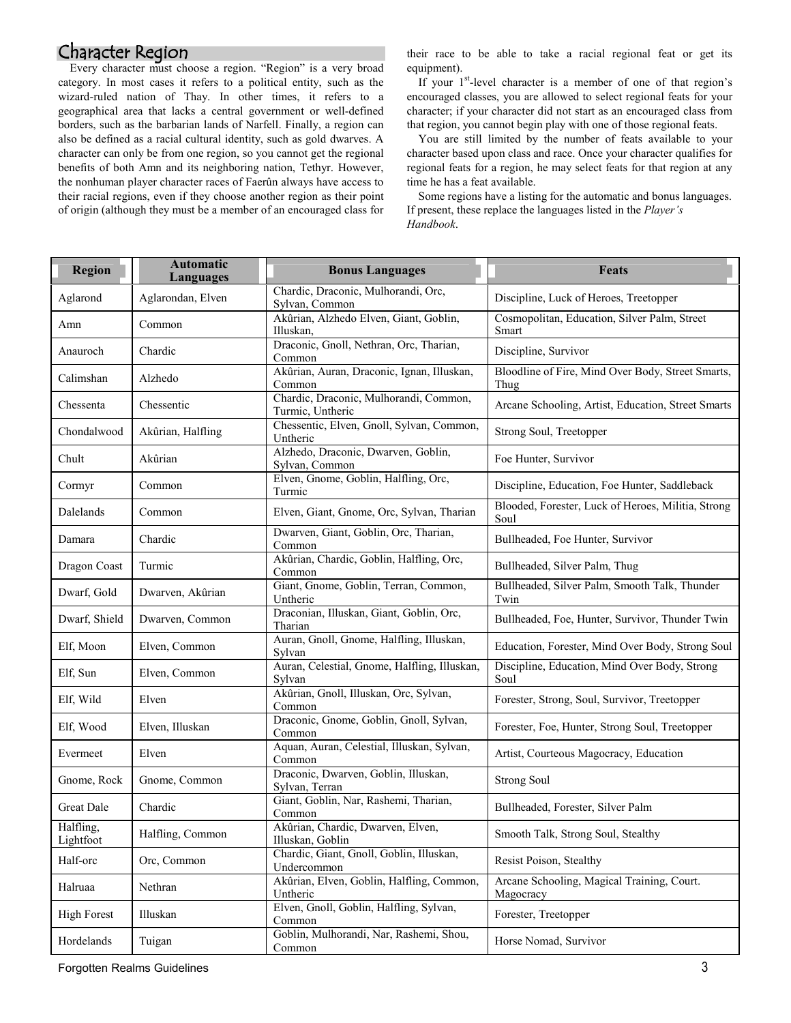Character Region<br>Every character must choose a region. "Region" is a very broad category. In most cases it refers to a political entity, such as the wizard-ruled nation of Thay. In other times, it refers to a geographical area that lacks a central government or well-defined borders, such as the barbarian lands of Narfell. Finally, a region can also be defined as a racial cultural identity, such as gold dwarves. A character can only be from one region, so you cannot get the regional benefits of both Amn and its neighboring nation, Tethyr. However, the nonhuman player character races of Faerûn always have access to their racial regions, even if they choose another region as their point of origin (although they must be a member of an encouraged class for

their race to be able to take a racial regional feat or get its equipment).

If your 1<sup>st</sup>-level character is a member of one of that region's encouraged classes, you are allowed to select regional feats for your character; if your character did not start as an encouraged class from that region, you cannot begin play with one of those regional feats.

 You are still limited by the number of feats available to your character based upon class and race. Once your character qualifies for regional feats for a region, he may select feats for that region at any time he has a feat available.

 Some regions have a listing for the automatic and bonus languages. If present, these replace the languages listed in the *Player's Handbook*.

| <b>Region</b>          | <b>Automatic</b><br><b>Languages</b> | <b>Bonus Languages</b>                                     | <b>Feats</b>                                               |
|------------------------|--------------------------------------|------------------------------------------------------------|------------------------------------------------------------|
| Aglarond               | Aglarondan, Elven                    | Chardic, Draconic, Mulhorandi, Orc,<br>Sylvan, Common      | Discipline, Luck of Heroes, Treetopper                     |
| Amn                    | Common                               | Akûrian, Alzhedo Elven, Giant, Goblin,<br>Illuskan,        | Cosmopolitan, Education, Silver Palm, Street<br>Smart      |
| Anauroch               | Chardic                              | Draconic, Gnoll, Nethran, Orc, Tharian,<br>Common          | Discipline, Survivor                                       |
| Calimshan              | Alzhedo                              | Akûrian, Auran, Draconic, Ignan, Illuskan,<br>Common       | Bloodline of Fire, Mind Over Body, Street Smarts,<br>Thug  |
| Chessenta              | Chessentic                           | Chardic, Draconic, Mulhorandi, Common,<br>Turmic, Untheric | Arcane Schooling, Artist, Education, Street Smarts         |
| Chondalwood            | Akûrian, Halfling                    | Chessentic, Elven, Gnoll, Sylvan, Common,<br>Untheric      | Strong Soul, Treetopper                                    |
| Chult                  | Akûrian                              | Alzhedo, Draconic, Dwarven, Goblin,<br>Sylvan, Common      | Foe Hunter, Survivor                                       |
| Cormyr                 | Common                               | Elven, Gnome, Goblin, Halfling, Orc,<br>Turmic             | Discipline, Education, Foe Hunter, Saddleback              |
| Dalelands              | Common                               | Elven, Giant, Gnome, Orc, Sylvan, Tharian                  | Blooded, Forester, Luck of Heroes, Militia, Strong<br>Soul |
| Damara                 | Chardic                              | Dwarven, Giant, Goblin, Orc, Tharian,<br>Common            | Bullheaded, Foe Hunter, Survivor                           |
| Dragon Coast           | Turmic                               | Akûrian, Chardic, Goblin, Halfling, Orc,<br>Common         | Bullheaded, Silver Palm, Thug                              |
| Dwarf, Gold            | Dwarven, Akûrian                     | Giant, Gnome, Goblin, Terran, Common,<br>Untheric          | Bullheaded, Silver Palm, Smooth Talk, Thunder<br>Twin      |
| Dwarf, Shield          | Dwarven, Common                      | Draconian, Illuskan, Giant, Goblin, Orc,<br>Tharian        | Bullheaded, Foe, Hunter, Survivor, Thunder Twin            |
| Elf, Moon              | Elven, Common                        | Auran, Gnoll, Gnome, Halfling, Illuskan,<br>Sylvan         | Education, Forester, Mind Over Body, Strong Soul           |
| Elf, Sun               | Elven, Common                        | Auran, Celestial, Gnome, Halfling, Illuskan,<br>Sylvan     | Discipline, Education, Mind Over Body, Strong<br>Soul      |
| Elf, Wild              | Elven                                | Akûrian, Gnoll, Illuskan, Orc, Sylvan,<br>Common           | Forester, Strong, Soul, Survivor, Treetopper               |
| Elf, Wood              | Elven, Illuskan                      | Draconic, Gnome, Goblin, Gnoll, Sylvan,<br>Common          | Forester, Foe, Hunter, Strong Soul, Treetopper             |
| Evermeet               | Elven                                | Aquan, Auran, Celestial, Illuskan, Sylvan,<br>Common       | Artist, Courteous Magocracy, Education                     |
| Gnome, Rock            | Gnome, Common                        | Draconic, Dwarven, Goblin, Illuskan,<br>Sylvan, Terran     | <b>Strong Soul</b>                                         |
| <b>Great Dale</b>      | Chardic                              | Giant, Goblin, Nar, Rashemi, Tharian,<br>Common            | Bullheaded, Forester, Silver Palm                          |
| Halfling,<br>Lightfoot | Halfling, Common                     | Akûrian, Chardic, Dwarven, Elven,<br>Illuskan, Goblin      | Smooth Talk, Strong Soul, Stealthy                         |
| Half-orc               | Orc, Common                          | Chardic, Giant, Gnoll, Goblin, Illuskan,<br>Undercommon    | Resist Poison, Stealthy                                    |
| Halruaa                | Nethran                              | Akûrian, Elven, Goblin, Halfling, Common,<br>Untheric      | Arcane Schooling, Magical Training, Court.<br>Magocracy    |
| <b>High Forest</b>     | Illuskan                             | Elven, Gnoll, Goblin, Halfling, Sylvan,<br>Common          | Forester, Treetopper                                       |
| Hordelands             | Tuigan                               | Goblin, Mulhorandi, Nar, Rashemi, Shou,<br>Common          | Horse Nomad, Survivor                                      |

Forgotten Realms Guidelines 3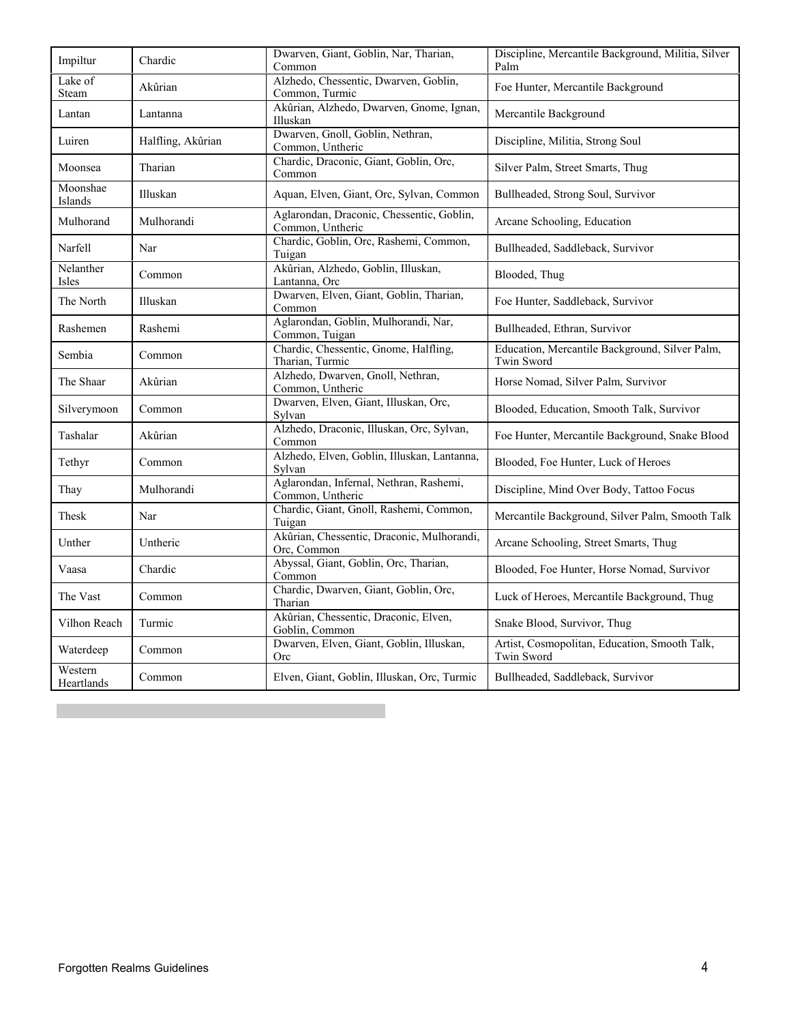| Impiltur              | Chardic           | Dwarven, Giant, Goblin, Nar, Tharian,<br>Common               | Discipline, Mercantile Background, Militia, Silver<br>Palm   |
|-----------------------|-------------------|---------------------------------------------------------------|--------------------------------------------------------------|
| Lake of<br>Steam      | Akûrian           | Alzhedo, Chessentic, Dwarven, Goblin,<br>Common, Turmic       | Foe Hunter, Mercantile Background                            |
| Lantan                | Lantanna          | Akûrian, Alzhedo, Dwarven, Gnome, Ignan,<br>Illuskan          | Mercantile Background                                        |
| Luiren                | Halfling, Akûrian | Dwarven, Gnoll, Goblin, Nethran,<br>Common, Untheric          | Discipline, Militia, Strong Soul                             |
| Moonsea               | Tharian           | Chardic, Draconic, Giant, Goblin, Orc,<br>Common              | Silver Palm, Street Smarts, Thug                             |
| Moonshae<br>Islands   | Illuskan          | Aquan, Elven, Giant, Orc, Sylvan, Common                      | Bullheaded, Strong Soul, Survivor                            |
| Mulhorand             | Mulhorandi        | Aglarondan, Draconic, Chessentic, Goblin,<br>Common, Untheric | Arcane Schooling, Education                                  |
| Narfell               | Nar               | Chardic, Goblin, Orc, Rashemi, Common,<br>Tuigan              | Bullheaded, Saddleback, Survivor                             |
| Nelanther<br>Isles    | Common            | Akûrian, Alzhedo, Goblin, Illuskan,<br>Lantanna, Orc          | Blooded, Thug                                                |
| The North             | Illuskan          | Dwarven, Elven, Giant, Goblin, Tharian,<br>Common             | Foe Hunter, Saddleback, Survivor                             |
| Rashemen              | Rashemi           | Aglarondan, Goblin, Mulhorandi, Nar,<br>Common, Tuigan        | Bullheaded, Ethran, Survivor                                 |
| Sembia                | Common            | Chardic, Chessentic, Gnome, Halfling,<br>Tharian, Turmic      | Education, Mercantile Background, Silver Palm,<br>Twin Sword |
| The Shaar             | Akûrian           | Alzhedo, Dwarven, Gnoll, Nethran,<br>Common, Untheric         | Horse Nomad, Silver Palm, Survivor                           |
| Silverymoon           | Common            | Dwarven, Elven, Giant, Illuskan, Orc,<br>Sylvan               | Blooded, Education, Smooth Talk, Survivor                    |
| Tashalar              | Akûrian           | Alzhedo, Draconic, Illuskan, Orc, Sylvan,<br>Common           | Foe Hunter, Mercantile Background, Snake Blood               |
| Tethyr                | Common            | Alzhedo, Elven, Goblin, Illuskan, Lantanna,<br>Sylvan         | Blooded, Foe Hunter, Luck of Heroes                          |
| Thay                  | Mulhorandi        | Aglarondan, Infernal, Nethran, Rashemi,<br>Common, Untheric   | Discipline, Mind Over Body, Tattoo Focus                     |
| Thesk                 | Nar               | Chardic, Giant, Gnoll, Rashemi, Common,<br>Tuigan             | Mercantile Background, Silver Palm, Smooth Talk              |
| Unther                | Untheric          | Akûrian, Chessentic, Draconic, Mulhorandi,<br>Orc, Common     | Arcane Schooling, Street Smarts, Thug                        |
| Vaasa                 | Chardic           | Abyssal, Giant, Goblin, Orc, Tharian,<br>Common               | Blooded, Foe Hunter, Horse Nomad, Survivor                   |
| The Vast              | Common            | Chardic, Dwarven, Giant, Goblin, Orc,<br>Tharian              | Luck of Heroes, Mercantile Background, Thug                  |
| Vilhon Reach          | Turmic            | Akûrian, Chessentic, Draconic, Elven,<br>Goblin, Common       | Snake Blood, Survivor, Thug                                  |
| Waterdeep             | Common            | Dwarven, Elven, Giant, Goblin, Illuskan,<br>Orc               | Artist, Cosmopolitan, Education, Smooth Talk,<br>Twin Sword  |
| Western<br>Heartlands | Common            | Elven, Giant, Goblin, Illuskan, Orc, Turmic                   | Bullheaded, Saddleback, Survivor                             |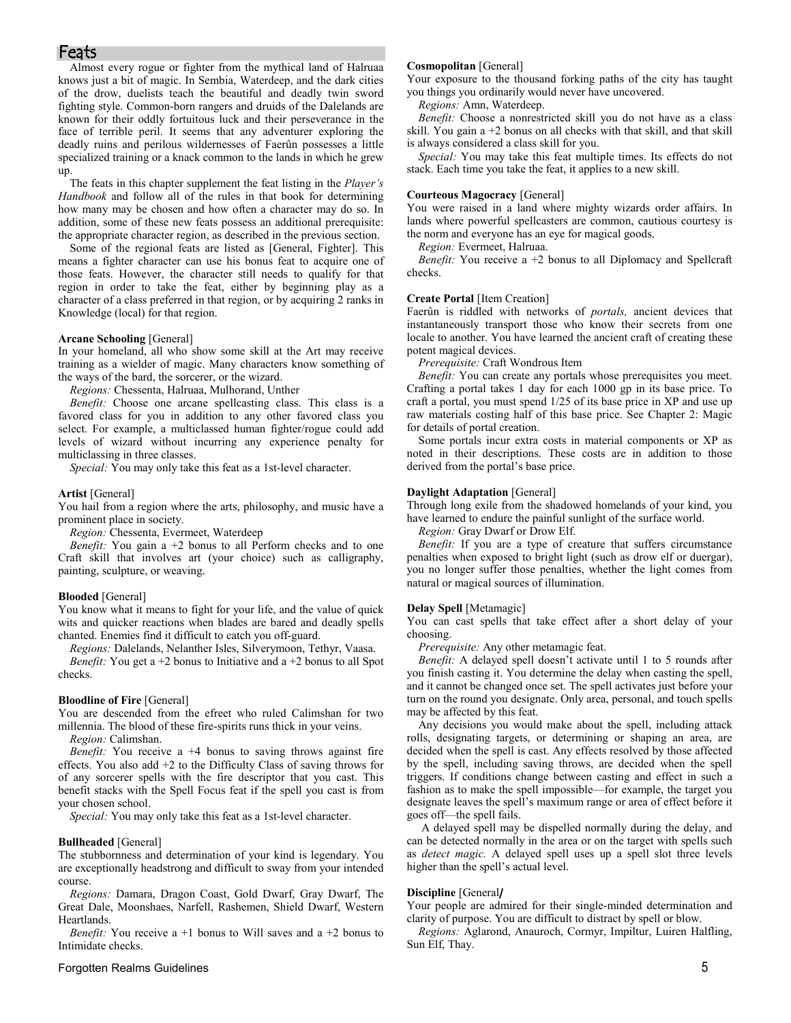**Feats**<br>Almost every rogue or fighter from the mythical land of Halruaa knows just a bit of magic. In Sembia, Waterdeep, and the dark cities of the drow, duelists teach the beautiful and deadly twin sword fighting style. Common-born rangers and druids of the Dalelands are known for their oddly fortuitous luck and their perseverance in the face of terrible peril. It seems that any adventurer exploring the deadly ruins and perilous wildernesses of Faerûn possesses a little specialized training or a knack common to the lands in which he grew up.

The feats in this chapter supplement the feat listing in the *Player's Handbook* and follow all of the rules in that book for determining how many may be chosen and how often a character may do so. In addition, some of these new feats possess an additional prerequisite: the appropriate character region, as described in the previous section.

 Some of the regional feats are listed as [General, Fighter]. This means a fighter character can use his bonus feat to acquire one of those feats. However, the character still needs to qualify for that region in order to take the feat, either by beginning play as a character of a class preferred in that region, or by acquiring 2 ranks in Knowledge (local) for that region.

#### **Arcane Schooling** [General]

In your homeland, all who show some skill at the Art may receive training as a wielder of magic. Many characters know something of the ways of the bard, the sorcerer, or the wizard.

*Regions:* Chessenta, Halruaa, Mulhorand, Unther

*Benefit:* Choose one arcane spellcasting class. This class is a favored class for you in addition to any other favored class you select. For example, a multiclassed human fighter/rogue could add levels of wizard without incurring any experience penalty for multiclassing in three classes.

*Special:* You may only take this feat as a 1st-level character.

#### **Artist** [General]

You hail from a region where the arts, philosophy, and music have a prominent place in society.

*Region:* Chessenta, Evermeet, Waterdeep

*Benefit:* You gain a +2 bonus to all Perform checks and to one Craft skill that involves art (your choice) such as calligraphy, painting, sculpture, or weaving.

#### **Blooded** [General]

You know what it means to fight for your life, and the value of quick wits and quicker reactions when blades are bared and deadly spells chanted. Enemies find it difficult to catch you off-guard.

*Regions:* Dalelands, Nelanther Isles, Silverymoon, Tethyr, Vaasa.

*Benefit:* You get a  $+2$  bonus to Initiative and a  $+2$  bonus to all Spot checks.

#### **Bloodline of Fire** [General]

You are descended from the efreet who ruled Calimshan for two millennia. The blood of these fire-spirits runs thick in your veins.

*Region:* Calimshan.

*Benefit:* You receive a +4 bonus to saving throws against fire effects. You also add +2 to the Difficulty Class of saving throws for of any sorcerer spells with the fire descriptor that you cast. This benefit stacks with the Spell Focus feat if the spell you cast is from your chosen school.

*Special:* You may only take this feat as a 1st-level character.

#### **Bullheaded** [General]

The stubbornness and determination of your kind is legendary. You are exceptionally headstrong and difficult to sway from your intended course.

*Regions:* Damara, Dragon Coast, Gold Dwarf, Gray Dwarf, The Great Dale, Moonshaes, Narfell, Rashemen, Shield Dwarf, Western Heartlands.

*Benefit:* You receive a  $+1$  bonus to Will saves and a  $+2$  bonus to Intimidate checks.

# Forgotten Realms Guidelines 5

# **Cosmopolitan** [General]

Your exposure to the thousand forking paths of the city has taught you things you ordinarily would never have uncovered.

*Regions:* Amn, Waterdeep.

*Benefit:* Choose a nonrestricted skill you do not have as a class skill. You gain a +2 bonus on all checks with that skill, and that skill is always considered a class skill for you.

*Special:* You may take this feat multiple times. Its effects do not stack. Each time you take the feat, it applies to a new skill.

#### **Courteous Magocracy** [General]

You were raised in a land where mighty wizards order affairs. In lands where powerful spellcasters are common, cautious courtesy is the norm and everyone has an eye for magical goods.

*Region:* Evermeet, Halruaa.

*Benefit:* You receive a +2 bonus to all Diplomacy and Spellcraft checks.

#### **Create Portal** [Item Creation]

Faerûn is riddled with networks of *portals*, ancient devices that instantaneously transport those who know their secrets from one locale to another. You have learned the ancient craft of creating these potent magical devices.

*Prerequisite:* Craft Wondrous Item

*Benefit:* You can create any portals whose prerequisites you meet. Crafting a portal takes 1 day for each 1000 gp in its base price. To craft a portal, you must spend 1/25 of its base price in XP and use up raw materials costing half of this base price. See Chapter 2: Magic for details of portal creation.

 Some portals incur extra costs in material components or XP as noted in their descriptions. These costs are in addition to those derived from the portal's base price.

#### **Daylight Adaptation** [General]

Through long exile from the shadowed homelands of your kind, you have learned to endure the painful sunlight of the surface world.

*Region:* Gray Dwarf or Drow Elf.

*Benefit:* If you are a type of creature that suffers circumstance penalties when exposed to bright light (such as drow elf or duergar), you no longer suffer those penalties, whether the light comes from natural or magical sources of illumination.

#### **Delay Spell** [Metamagic]

You can cast spells that take effect after a short delay of your choosing.

*Prerequisite:* Any other metamagic feat.

*Benefit:* A delayed spell doesn't activate until 1 to 5 rounds after you finish casting it. You determine the delay when casting the spell, and it cannot be changed once set. The spell activates just before your turn on the round you designate. Only area, personal, and touch spells may be affected by this feat.

Any decisions you would make about the spell, including attack rolls, designating targets, or determining or shaping an area, are decided when the spell is cast. Any effects resolved by those affected by the spell, including saving throws, are decided when the spell triggers. If conditions change between casting and effect in such a fashion as to make the spell impossible—for example, the target you designate leaves the spell's maximum range or area of effect before it goes off—the spell fails.

 A delayed spell may be dispelled normally during the delay, and can be detected normally in the area or on the target with spells such as *detect magic.* A delayed spell uses up a spell slot three levels higher than the spell's actual level.

#### **Discipline** [General*]*

Your people are admired for their single-minded determination and clarity of purpose. You are difficult to distract by spell or blow.

*Regions:* Aglarond, Anauroch, Cormyr, Impiltur, Luiren Halfling, Sun Elf, Thay.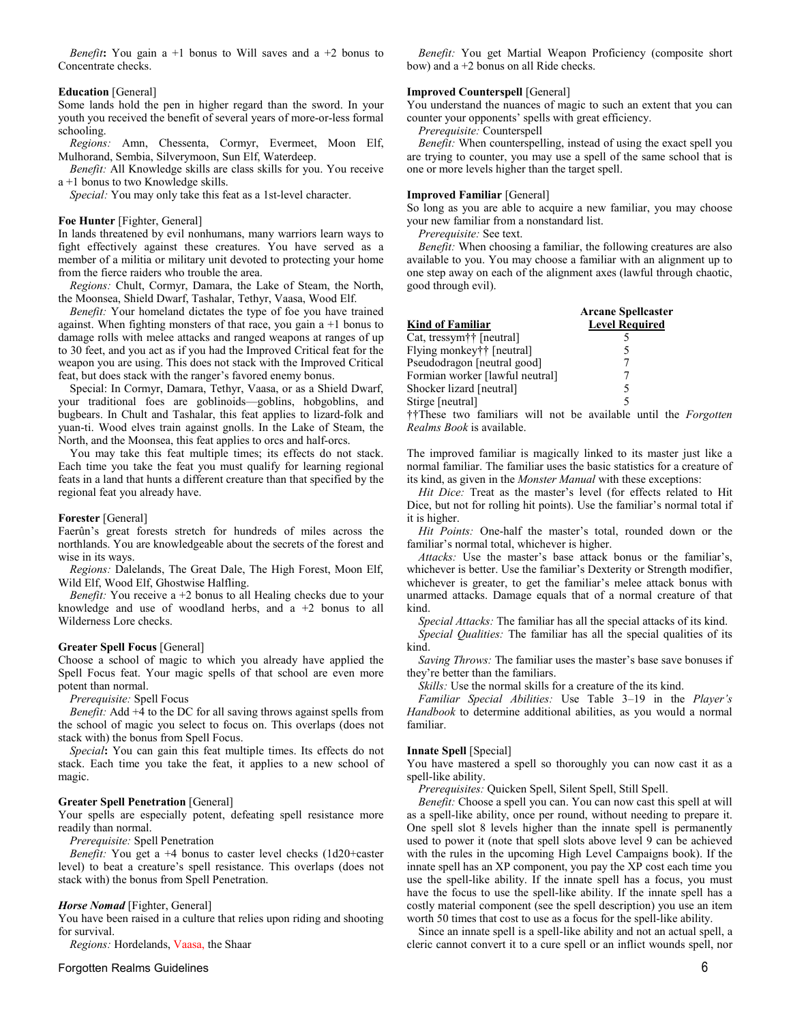*Benefit*: You gain a  $+1$  bonus to Will saves and a  $+2$  bonus to Concentrate checks.

#### **Education** [General]

Some lands hold the pen in higher regard than the sword. In your youth you received the benefit of several years of more-or-less formal schooling.

*Regions:* Amn, Chessenta, Cormyr, Evermeet, Moon Elf, Mulhorand, Sembia, Silverymoon, Sun Elf, Waterdeep.

*Benefit:* All Knowledge skills are class skills for you. You receive a +1 bonus to two Knowledge skills.

*Special:* You may only take this feat as a 1st-level character.

#### **Foe Hunter** [Fighter, General]

In lands threatened by evil nonhumans, many warriors learn ways to fight effectively against these creatures. You have served as a member of a militia or military unit devoted to protecting your home from the fierce raiders who trouble the area.

*Regions:* Chult, Cormyr, Damara, the Lake of Steam, the North, the Moonsea, Shield Dwarf, Tashalar, Tethyr, Vaasa, Wood Elf.

*Benefit:* Your homeland dictates the type of foe you have trained against. When fighting monsters of that race, you gain a  $+1$  bonus to damage rolls with melee attacks and ranged weapons at ranges of up to 30 feet, and you act as if you had the Improved Critical feat for the weapon you are using. This does not stack with the Improved Critical feat, but does stack with the ranger's favored enemy bonus.

 Special: In Cormyr, Damara, Tethyr, Vaasa, or as a Shield Dwarf, your traditional foes are goblinoids-goblins, hobgoblins, and bugbears. In Chult and Tashalar, this feat applies to lizard-folk and yuan-ti. Wood elves train against gnolls. In the Lake of Steam, the North, and the Moonsea, this feat applies to orcs and half-orcs.

You may take this feat multiple times; its effects do not stack. Each time you take the feat you must qualify for learning regional feats in a land that hunts a different creature than that specified by the regional feat you already have.

#### **Forester** [General]

Faerûn's great forests stretch for hundreds of miles across the northlands. You are knowledgeable about the secrets of the forest and wise in its ways.

*Regions:* Dalelands, The Great Dale, The High Forest, Moon Elf, Wild Elf, Wood Elf, Ghostwise Halfling.

*Benefit:* You receive a +2 bonus to all Healing checks due to your knowledge and use of woodland herbs, and a +2 bonus to all Wilderness Lore checks.

#### **Greater Spell Focus** [General]

Choose a school of magic to which you already have applied the Spell Focus feat. Your magic spells of that school are even more potent than normal.

*Prerequisite:* Spell Focus

*Benefit:* Add +4 to the DC for all saving throws against spells from the school of magic you select to focus on. This overlaps (does not stack with) the bonus from Spell Focus.

*Special***:** You can gain this feat multiple times. Its effects do not stack. Each time you take the feat, it applies to a new school of magic.

## **Greater Spell Penetration** [General]

Your spells are especially potent, defeating spell resistance more readily than normal.

*Prerequisite:* Spell Penetration

*Benefit:* You get a +4 bonus to caster level checks (1d20+caster level) to beat a creature's spell resistance. This overlaps (does not stack with) the bonus from Spell Penetration.

#### *Horse Nomad* [Fighter, General]

You have been raised in a culture that relies upon riding and shooting for survival.

*Regions:* Hordelands, Vaasa, the Shaar

Forgotten Realms Guidelines 6

*Benefit:* You get Martial Weapon Proficiency (composite short bow) and a +2 bonus on all Ride checks.

### **Improved Counterspell** [General]

You understand the nuances of magic to such an extent that you can counter your opponents' spells with great efficiency.

*Prerequisite:* Counterspell

*Benefit:* When counterspelling, instead of using the exact spell you are trying to counter, you may use a spell of the same school that is one or more levels higher than the target spell.

#### **Improved Familiar** [General]

So long as you are able to acquire a new familiar, you may choose your new familiar from a nonstandard list.

*Prerequisite:* See text.

*Benefit:* When choosing a familiar, the following creatures are also available to you. You may choose a familiar with an alignment up to one step away on each of the alignment axes (lawful through chaotic, good through evil).

| <b>Kind of Familiar</b>              | <b>Arcane Spellcaster</b><br><b>Level Required</b> |
|--------------------------------------|----------------------------------------------------|
| Cat, tressym <sup>††</sup> [neutral] |                                                    |
| Flying monkey†† [neutral]            | 5                                                  |
| Pseudodragon [neutral good]          |                                                    |
| Formian worker [lawful neutral]      |                                                    |
| Shocker lizard [neutral]             | 5                                                  |
| Stirge [neutral]                     | 5                                                  |

ÜÜThese two familiars will not be available until the *Forgotten Realms Book* is available.

The improved familiar is magically linked to its master just like a normal familiar. The familiar uses the basic statistics for a creature of its kind, as given in the *Monster Manual* with these exceptions:

Hit Dice: Treat as the master's level (for effects related to Hit Dice, but not for rolling hit points). Use the familiar's normal total if it is higher.

Hit Points: One-half the master's total, rounded down or the familiar's normal total, whichever is higher.

Attacks: Use the master's base attack bonus or the familiar's, whichever is better. Use the familiar's Dexterity or Strength modifier, whichever is greater, to get the familiar's melee attack bonus with unarmed attacks. Damage equals that of a normal creature of that kind.

*Special Attacks:* The familiar has all the special attacks of its kind.

*Special Qualities:* The familiar has all the special qualities of its kind.

*Saving Throws:* The familiar uses the master's base save bonuses if they're better than the familiars.

*Skills:* Use the normal skills for a creature of the its kind.

*Familiar Special Abilities:* Use Table 3-19 in the *Player's Handbook* to determine additional abilities, as you would a normal familiar.

#### **Innate Spell** [Special]

You have mastered a spell so thoroughly you can now cast it as a spell-like ability.

*Prerequisites:* Quicken Spell, Silent Spell, Still Spell.

*Benefit:* Choose a spell you can. You can now cast this spell at will as a spell-like ability, once per round, without needing to prepare it. One spell slot 8 levels higher than the innate spell is permanently used to power it (note that spell slots above level 9 can be achieved with the rules in the upcoming High Level Campaigns book). If the innate spell has an XP component, you pay the XP cost each time you use the spell-like ability. If the innate spell has a focus, you must have the focus to use the spell-like ability. If the innate spell has a costly material component (see the spell description) you use an item worth 50 times that cost to use as a focus for the spell-like ability.

 Since an innate spell is a spell-like ability and not an actual spell, a cleric cannot convert it to a cure spell or an inflict wounds spell, nor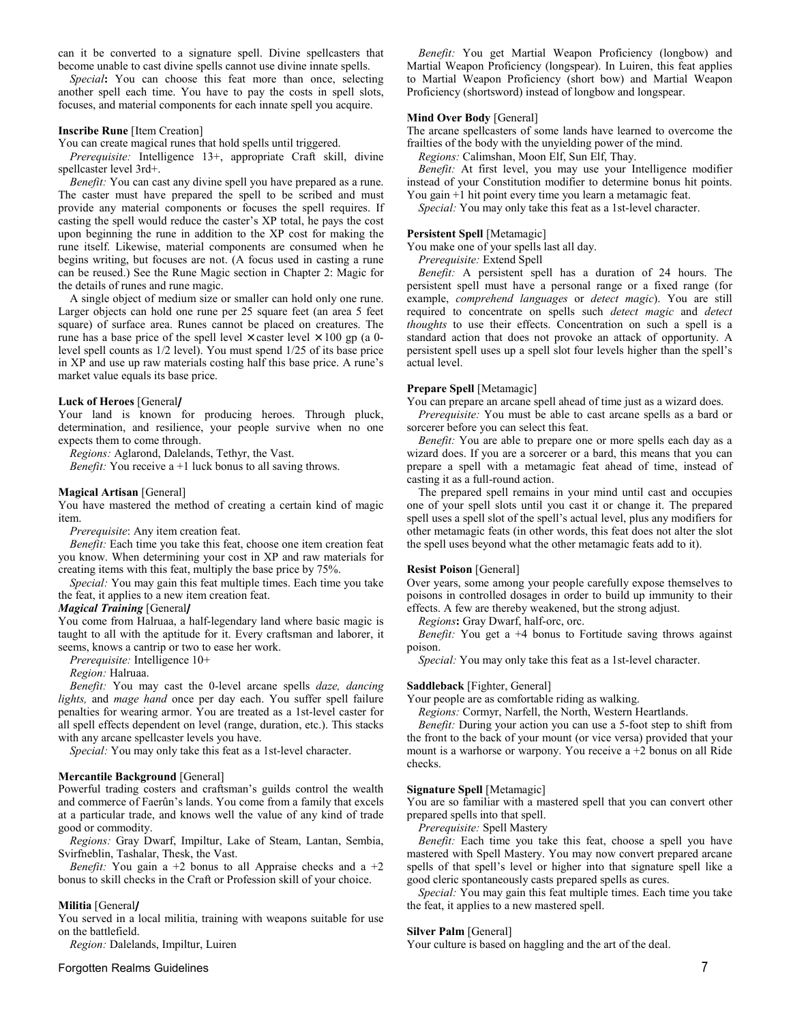can it be converted to a signature spell. Divine spellcasters that become unable to cast divine spells cannot use divine innate spells.

*Special***:** You can choose this feat more than once, selecting another spell each time. You have to pay the costs in spell slots, focuses, and material components for each innate spell you acquire.

#### **Inscribe Rune** [Item Creation]

You can create magical runes that hold spells until triggered.

*Prerequisite:* Intelligence 13+, appropriate Craft skill, divine spellcaster level 3rd+.

*Benefit:* You can cast any divine spell you have prepared as a rune. The caster must have prepared the spell to be scribed and must provide any material components or focuses the spell requires. If casting the spell would reduce the caster's XP total, he pays the cost upon beginning the rune in addition to the XP cost for making the rune itself. Likewise, material components are consumed when he begins writing, but focuses are not. (A focus used in casting a rune can be reused.) See the Rune Magic section in Chapter 2: Magic for the details of runes and rune magic.

 A single object of medium size or smaller can hold only one rune. Larger objects can hold one rune per 25 square feet (an area 5 feet square) of surface area. Runes cannot be placed on creatures. The rune has a base price of the spell level  $\times$  caster level  $\times$  100 gp (a 0level spell counts as 1/2 level). You must spend 1/25 of its base price in XP and use up raw materials costing half this base price. A rune's market value equals its base price.

#### **Luck of Heroes** [General*]*

Your land is known for producing heroes. Through pluck, determination, and resilience, your people survive when no one expects them to come through.

*Regions:* Aglarond, Dalelands, Tethyr, the Vast.

*Benefit:* You receive a +1 luck bonus to all saving throws.

#### **Magical Artisan** [General]

You have mastered the method of creating a certain kind of magic item.

*Prerequisite*: Any item creation feat.

*Benefit:* Each time you take this feat, choose one item creation feat you know. When determining your cost in XP and raw materials for creating items with this feat, multiply the base price by 75%.

*Special:* You may gain this feat multiple times. Each time you take the feat, it applies to a new item creation feat.

#### *Magical Training* [General*]*

You come from Halruaa, a half-legendary land where basic magic is taught to all with the aptitude for it. Every craftsman and laborer, it seems, knows a cantrip or two to ease her work.

*Prerequisite:* Intelligence 10+

*Region:* Halruaa.

*Benefit:* You may cast the 0-level arcane spells *daze, dancing lights,* and *mage hand* once per day each. You suffer spell failure penalties for wearing armor. You are treated as a 1st-level caster for all spell effects dependent on level (range, duration, etc.). This stacks with any arcane spellcaster levels you have.

*Special:* You may only take this feat as a 1st-level character.

#### **Mercantile Background** [General]

Powerful trading costers and craftsman's guilds control the wealth and commerce of Faerûn's lands. You come from a family that excels at a particular trade, and knows well the value of any kind of trade good or commodity.

*Regions:* Gray Dwarf, Impiltur, Lake of Steam, Lantan, Sembia, Svirfneblin, Tashalar, Thesk, the Vast.

*Benefit:* You gain a +2 bonus to all Appraise checks and a +2 bonus to skill checks in the Craft or Profession skill of your choice.

#### **Militia** [General*]*

You served in a local militia, training with weapons suitable for use on the battlefield.

*Region:* Dalelands, Impiltur, Luiren

*Benefit:* You get Martial Weapon Proficiency (longbow) and Martial Weapon Proficiency (longspear). In Luiren, this feat applies to Martial Weapon Proficiency (short bow) and Martial Weapon Proficiency (shortsword) instead of longbow and longspear.

#### **Mind Over Body** [General]

The arcane spellcasters of some lands have learned to overcome the frailties of the body with the unyielding power of the mind.

*Regions:* Calimshan, Moon Elf, Sun Elf, Thay.

*Benefit:* At first level, you may use your Intelligence modifier instead of your Constitution modifier to determine bonus hit points. You gain +1 hit point every time you learn a metamagic feat.

*Special:* You may only take this feat as a 1st-level character.

#### **Persistent Spell** [Metamagic]

You make one of your spells last all day.

*Prerequisite:* Extend Spell

*Benefit:* A persistent spell has a duration of 24 hours. The persistent spell must have a personal range or a fixed range (for example, *comprehend languages* or *detect magic*). You are still required to concentrate on spells such *detect magic* and *detect thoughts* to use their effects. Concentration on such a spell is a standard action that does not provoke an attack of opportunity. A persistent spell uses up a spell slot four levels higher than the spell's actual level.

#### **Prepare Spell** [Metamagic]

You can prepare an arcane spell ahead of time just as a wizard does.

*Prerequisite:* You must be able to cast arcane spells as a bard or sorcerer before you can select this feat.

*Benefit:* You are able to prepare one or more spells each day as a wizard does. If you are a sorcerer or a bard, this means that you can prepare a spell with a metamagic feat ahead of time, instead of casting it as a full-round action.

The prepared spell remains in your mind until cast and occupies one of your spell slots until you cast it or change it. The prepared spell uses a spell slot of the spell's actual level, plus any modifiers for other metamagic feats (in other words, this feat does not alter the slot the spell uses beyond what the other metamagic feats add to it).

#### **Resist Poison** [General]

Over years, some among your people carefully expose themselves to poisons in controlled dosages in order to build up immunity to their effects. A few are thereby weakened, but the strong adjust.

*Regions***:** Gray Dwarf, half-orc, orc.

*Benefit:* You get a +4 bonus to Fortitude saving throws against poison.

*Special:* You may only take this feat as a 1st-level character.

#### **Saddleback** [Fighter, General]

Your people are as comfortable riding as walking.

*Regions:* Cormyr, Narfell, the North, Western Heartlands.

*Benefit:* During your action you can use a 5-foot step to shift from the front to the back of your mount (or vice versa) provided that your mount is a warhorse or warpony. You receive a +2 bonus on all Ride checks.

#### **Signature Spell** [Metamagic]

You are so familiar with a mastered spell that you can convert other prepared spells into that spell.

*Prerequisite:* Spell Mastery

*Benefit:* Each time you take this feat, choose a spell you have mastered with Spell Mastery. You may now convert prepared arcane spells of that spell's level or higher into that signature spell like a good cleric spontaneously casts prepared spells as cures.

*Special:* You may gain this feat multiple times. Each time you take the feat, it applies to a new mastered spell.

## **Silver Palm** [General]

Your culture is based on haggling and the art of the deal.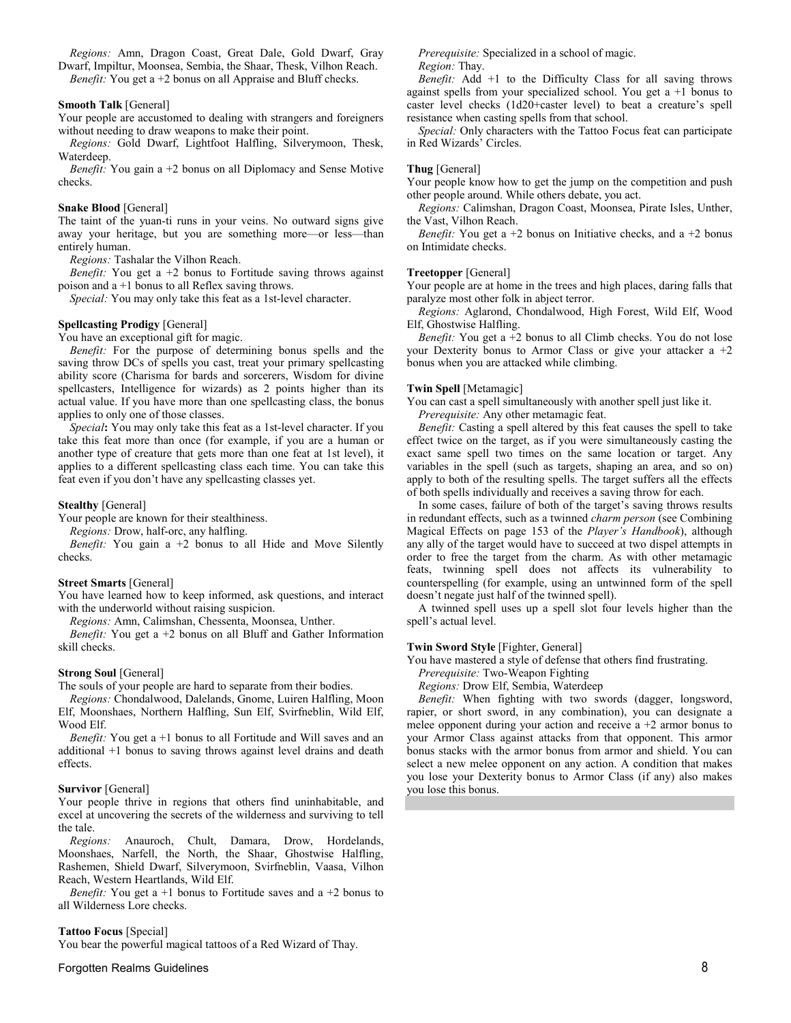*Regions:* Amn, Dragon Coast, Great Dale, Gold Dwarf, Gray Dwarf, Impiltur, Moonsea, Sembia, the Shaar, Thesk, Vilhon Reach. *Benefit:* You get a +2 bonus on all Appraise and Bluff checks.

#### **Smooth Talk** [General]

Your people are accustomed to dealing with strangers and foreigners without needing to draw weapons to make their point.

*Regions:* Gold Dwarf, Lightfoot Halfling, Silverymoon, Thesk, Waterdeep.

*Benefit:* You gain a +2 bonus on all Diplomacy and Sense Motive checks.

#### **Snake Blood** [General]

The taint of the yuan-ti runs in your veins. No outward signs give away your heritage, but you are something more—or less—than entirely human.

*Regions:* Tashalar the Vilhon Reach.

*Benefit:* You get a  $+2$  bonus to Fortitude saving throws against poison and a +1 bonus to all Reflex saving throws.

*Special:* You may only take this feat as a 1st-level character.

#### **Spellcasting Prodigy** [General]

You have an exceptional gift for magic.

*Benefit:* For the purpose of determining bonus spells and the saving throw DCs of spells you cast, treat your primary spellcasting ability score (Charisma for bards and sorcerers, Wisdom for divine spellcasters, Intelligence for wizards) as 2 points higher than its actual value. If you have more than one spellcasting class, the bonus applies to only one of those classes.

*Special***:** You may only take this feat as a 1st-level character. If you take this feat more than once (for example, if you are a human or another type of creature that gets more than one feat at 1st level), it applies to a different spellcasting class each time. You can take this feat even if you don't have any spellcasting classes yet.

#### **Stealthy** [General]

Your people are known for their stealthiness.

*Regions:* Drow, half-orc, any halfling.

*Benefit:* You gain a +2 bonus to all Hide and Move Silently checks.

#### **Street Smarts** [General]

You have learned how to keep informed, ask questions, and interact with the underworld without raising suspicion.

*Regions:* Amn, Calimshan, Chessenta, Moonsea, Unther.

*Benefit:* You get a +2 bonus on all Bluff and Gather Information skill checks.

#### **Strong Soul** [General]

The souls of your people are hard to separate from their bodies.

*Regions:* Chondalwood, Dalelands, Gnome, Luiren Halfling, Moon Elf, Moonshaes, Northern Halfling, Sun Elf, Svirfneblin, Wild Elf, Wood Elf.

*Benefit:* You get a +1 bonus to all Fortitude and Will saves and an additional +1 bonus to saving throws against level drains and death effects.

#### **Survivor** [General]

Your people thrive in regions that others find uninhabitable, and excel at uncovering the secrets of the wilderness and surviving to tell the tale.

*Regions:* Anauroch, Chult, Damara, Drow, Hordelands, Moonshaes, Narfell, the North, the Shaar, Ghostwise Halfling, Rashemen, Shield Dwarf, Silverymoon, Svirfneblin, Vaasa, Vilhon Reach, Western Heartlands, Wild Elf.

*Benefit:* You get a  $+1$  bonus to Fortitude saves and a  $+2$  bonus to all Wilderness Lore checks.

#### **Tattoo Focus** [Special]

You bear the powerful magical tattoos of a Red Wizard of Thay.

Forgotten Realms Guidelines 8

*Prerequisite:* Specialized in a school of magic. *Region:* Thay.

*Benefit:* Add +1 to the Difficulty Class for all saving throws against spells from your specialized school. You get a +1 bonus to caster level checks (1d20+caster level) to beat a creature's spell resistance when casting spells from that school.

*Special:* Only characters with the Tattoo Focus feat can participate in Red Wizards' Circles.

#### **Thug** [General]

Your people know how to get the jump on the competition and push other people around. While others debate, you act.

*Regions:* Calimshan, Dragon Coast, Moonsea, Pirate Isles, Unther, the Vast, Vilhon Reach.

*Benefit:* You get a  $+2$  bonus on Initiative checks, and a  $+2$  bonus on Intimidate checks.

#### **Treetopper** [General]

Your people are at home in the trees and high places, daring falls that paralyze most other folk in abject terror.

*Regions:* Aglarond, Chondalwood, High Forest, Wild Elf, Wood Elf, Ghostwise Halfling.

*Benefit:* You get a +2 bonus to all Climb checks. You do not lose your Dexterity bonus to Armor Class or give your attacker a +2 bonus when you are attacked while climbing.

#### **Twin Spell** [Metamagic]

You can cast a spell simultaneously with another spell just like it.

*Prerequisite:* Any other metamagic feat.

*Benefit:* Casting a spell altered by this feat causes the spell to take effect twice on the target, as if you were simultaneously casting the exact same spell two times on the same location or target. Any variables in the spell (such as targets, shaping an area, and so on) apply to both of the resulting spells. The target suffers all the effects of both spells individually and receives a saving throw for each.

In some cases, failure of both of the target's saving throws results in redundant effects, such as a twinned *charm person* (see Combining Magical Effects on page 153 of the *Playerís Handbook*), although any ally of the target would have to succeed at two dispel attempts in order to free the target from the charm. As with other metamagic feats, twinning spell does not affects its vulnerability to counterspelling (for example, using an untwinned form of the spell doesn't negate just half of the twinned spell).

A twinned spell uses up a spell slot four levels higher than the spell's actual level.

#### **Twin Sword Style** [Fighter, General]

You have mastered a style of defense that others find frustrating.

*Prerequisite:* Two-Weapon Fighting

*Regions:* Drow Elf, Sembia, Waterdeep

*Benefit:* When fighting with two swords (dagger, longsword, rapier, or short sword, in any combination), you can designate a melee opponent during your action and receive a +2 armor bonus to your Armor Class against attacks from that opponent. This armor bonus stacks with the armor bonus from armor and shield. You can select a new melee opponent on any action. A condition that makes you lose your Dexterity bonus to Armor Class (if any) also makes you lose this bonus.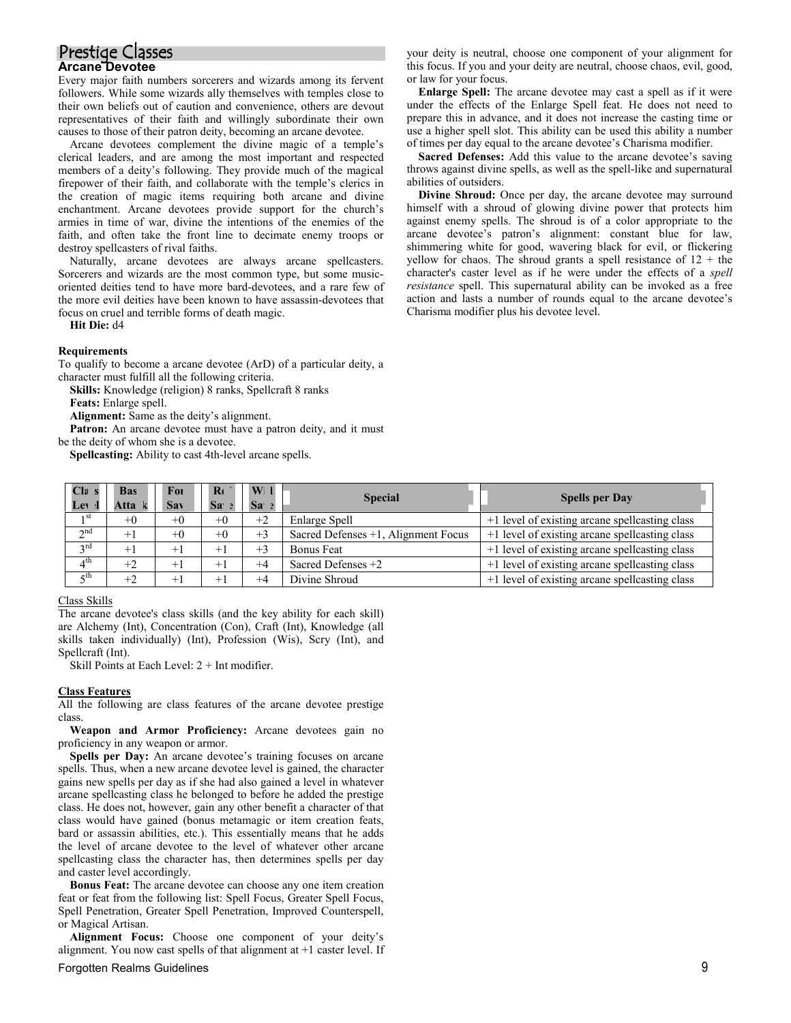# Prestige Classes Prestige Classes **Arcane Devotee**

Every major faith numbers sorcerers and wizards among its fervent followers. While some wizards ally themselves with temples close to their own beliefs out of caution and convenience, others are devout representatives of their faith and willingly subordinate their own causes to those of their patron deity, becoming an arcane devotee.

Arcane devotees complement the divine magic of a temple's clerical leaders, and are among the most important and respected members of a deity's following. They provide much of the magical firepower of their faith, and collaborate with the temple's clerics in the creation of magic items requiring both arcane and divine enchantment. Arcane devotees provide support for the church's armies in time of war, divine the intentions of the enemies of the faith, and often take the front line to decimate enemy troops or destroy spellcasters of rival faiths.

 Naturally, arcane devotees are always arcane spellcasters. Sorcerers and wizards are the most common type, but some musicoriented deities tend to have more bard-devotees, and a rare few of the more evil deities have been known to have assassin-devotees that focus on cruel and terrible forms of death magic.

**Hit Die:** d4

#### **Requirements**

To qualify to become a arcane devotee (ArD) of a particular deity, a character must fulfill all the following criteria.

**Skills:** Knowledge (religion) 8 ranks, Spellcraft 8 ranks

**Feats:** Enlarge spell.

Alignment: Same as the deity's alignment.

**Patron:** An arcane devotee must have a patron deity, and it must be the deity of whom she is a devotee.

**Spellcasting:** Ability to cast 4th-level arcane spells.

your deity is neutral, choose one component of your alignment for this focus. If you and your deity are neutral, choose chaos, evil, good, or law for your focus.

**Enlarge Spell:** The arcane devotee may cast a spell as if it were under the effects of the Enlarge Spell feat. He does not need to prepare this in advance, and it does not increase the casting time or use a higher spell slot. This ability can be used this ability a number of times per day equal to the arcane devotee's Charisma modifier.

Sacred Defenses: Add this value to the arcane devotee's saving throws against divine spells, as well as the spell-like and supernatural abilities of outsiders.

 **Divine Shroud:** Once per day, the arcane devotee may surround himself with a shroud of glowing divine power that protects him against enemy spells. The shroud is of a color appropriate to the arcane devotee's patron's alignment: constant blue for law, shimmering white for good, wavering black for evil, or flickering yellow for chaos. The shroud grants a spell resistance of  $12 +$  the character's caster level as if he were under the effects of a *spell resistance* spell. This supernatural ability can be invoked as a free action and lasts a number of rounds equal to the arcane devotee's Charisma modifier plus his devotee level.

| $Cla$ s<br><b>Lev</b> | <b>Bas</b><br>Atta k | For<br>Sav | $\mathbf{R}$<br>$S$ a<br>$\mathbf{P}$ | Wi<br>$S\mathbf{a}$ | <b>Special</b>                      | <b>Spells per Day</b>                          |
|-----------------------|----------------------|------------|---------------------------------------|---------------------|-------------------------------------|------------------------------------------------|
| 1 <sub>st</sub>       | $+0$                 | $+0$       | $+0$                                  | $+2$                | Enlarge Spell                       | +1 level of existing arcane spellcasting class |
| $\sim$ nd             | $+$                  | $+0$       | $+0$                                  | $+3$                | Sacred Defenses +1, Alignment Focus | +1 level of existing arcane spellcasting class |
| $2$ rd                | $+1$                 |            | $+1$                                  | $+3$                | Bonus Feat                          | +1 level of existing arcane spellcasting class |
| 4 <sup>th</sup>       | $+2$                 | $+1$       | $+1$                                  | $+4$                | Sacred Defenses +2                  | +1 level of existing arcane spellcasting class |
| $\tau$ th             | $+2$                 |            | $+1$                                  | $+4$                | Divine Shroud                       | +1 level of existing arcane spellcasting class |

Class Skills

The arcane devotee's class skills (and the key ability for each skill) are Alchemy (Int), Concentration (Con), Craft (Int), Knowledge (all skills taken individually) (Int), Profession (Wis), Scry (Int), and Spellcraft (Int).

Skill Points at Each Level: 2 + Int modifier.

#### **Class Features**

All the following are class features of the arcane devotee prestige class.

**Weapon and Armor Proficiency:** Arcane devotees gain no proficiency in any weapon or armor.

**Spells per Day:** An arcane devotee's training focuses on arcane spells. Thus, when a new arcane devotee level is gained, the character gains new spells per day as if she had also gained a level in whatever arcane spellcasting class he belonged to before he added the prestige class. He does not, however, gain any other benefit a character of that class would have gained (bonus metamagic or item creation feats, bard or assassin abilities, etc.). This essentially means that he adds the level of arcane devotee to the level of whatever other arcane spellcasting class the character has, then determines spells per day and caster level accordingly.

**Bonus Feat:** The arcane devotee can choose any one item creation feat or feat from the following list: Spell Focus, Greater Spell Focus, Spell Penetration, Greater Spell Penetration, Improved Counterspell, or Magical Artisan.

Alignment Focus: Choose one component of your deity's alignment. You now cast spells of that alignment at +1 caster level. If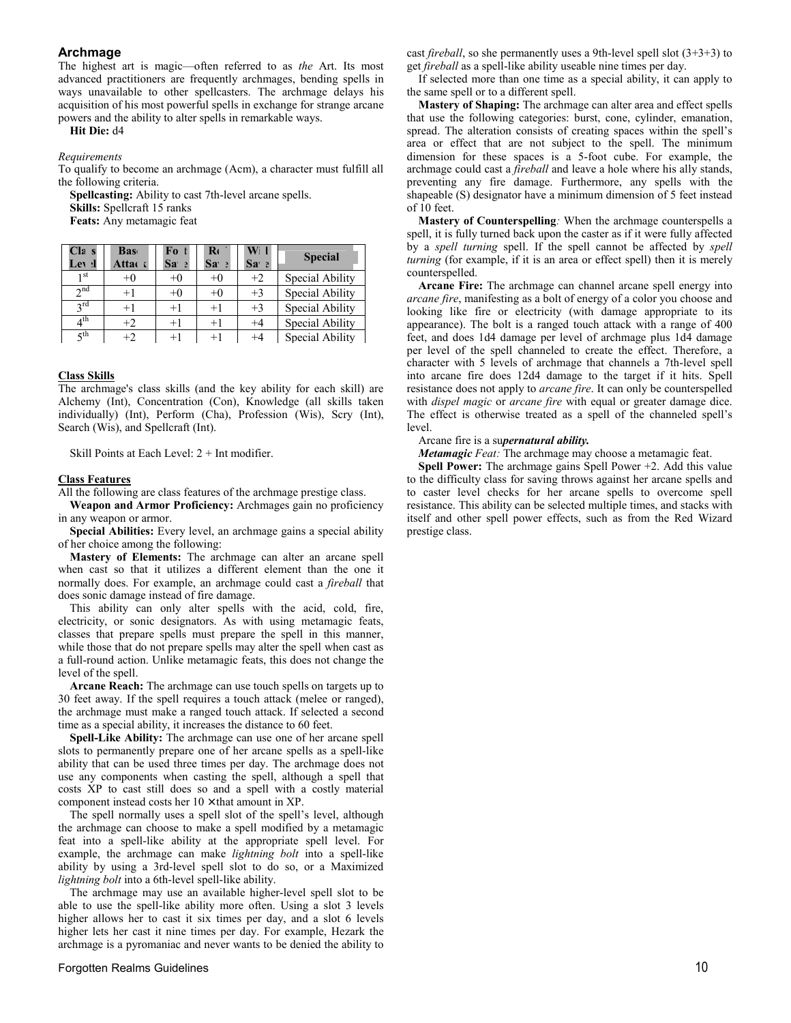## **Archmage**

The highest art is magic-often referred to as *the* Art. Its most advanced practitioners are frequently archmages, bending spells in ways unavailable to other spellcasters. The archmage delays his acquisition of his most powerful spells in exchange for strange arcane powers and the ability to alter spells in remarkable ways.

**Hit Die:** d4

#### *Requirements*

To qualify to become an archmage (Acm), a character must fulfill all the following criteria.

**Spellcasting:** Ability to cast 7th-level arcane spells. **Skills:** Spellcraft 15 ranks

**Feats:** Any metamagic feat

| $Cla$ s<br><b>Lev</b> :1 | <b>Bas</b><br>Attac t | $\mathbf{F}$ ot<br>$S\mathbf{a}$ e | $\mathbf{R}$<br>$S\mathbf{a}$ $\epsilon$ | Wi<br>$S\mathbf{a}$ e | <b>Special</b>  |
|--------------------------|-----------------------|------------------------------------|------------------------------------------|-----------------------|-----------------|
| 1 <sup>st</sup>          | $+0$                  | $+0$                               | $+0$                                     | $+2$                  | Special Ability |
| 2 <sub>nd</sub>          | $+1$                  | $+0$                               | $+0$                                     | $+3$                  | Special Ability |
| $2$ rd                   | $+1$                  | $+1$                               | $+1$                                     | $+3$                  | Special Ability |
| $\Lambda^{\text{th}}$    | $+2$                  | $+1$                               | $+1$                                     | $^{+4}$               | Special Ability |
| $5$ <sup>th</sup>        | $+2$                  | $+1$                               | $+1$                                     | $+4$                  | Special Ability |

# **Class Skills**

The archmage's class skills (and the key ability for each skill) are Alchemy (Int), Concentration (Con), Knowledge (all skills taken individually) (Int), Perform (Cha), Profession (Wis), Scry (Int), Search (Wis), and Spellcraft (Int).

Skill Points at Each Level: 2 + Int modifier.

#### **Class Features**

All the following are class features of the archmage prestige class.

 **Weapon and Armor Proficiency:** Archmages gain no proficiency in any weapon or armor.

**Special Abilities:** Every level, an archmage gains a special ability of her choice among the following:

**Mastery of Elements:** The archmage can alter an arcane spell when cast so that it utilizes a different element than the one it normally does. For example, an archmage could cast a *fireball* that does sonic damage instead of fire damage.

 This ability can only alter spells with the acid, cold, fire, electricity, or sonic designators. As with using metamagic feats, classes that prepare spells must prepare the spell in this manner, while those that do not prepare spells may alter the spell when cast as a full-round action. Unlike metamagic feats, this does not change the level of the spell.

**Arcane Reach:** The archmage can use touch spells on targets up to 30 feet away. If the spell requires a touch attack (melee or ranged), the archmage must make a ranged touch attack. If selected a second time as a special ability, it increases the distance to 60 feet.

**Spell-Like Ability:** The archmage can use one of her arcane spell slots to permanently prepare one of her arcane spells as a spell-like ability that can be used three times per day. The archmage does not use any components when casting the spell, although a spell that costs XP to cast still does so and a spell with a costly material component instead costs her  $10 \times$  that amount in XP.

The spell normally uses a spell slot of the spell's level, although the archmage can choose to make a spell modified by a metamagic feat into a spell-like ability at the appropriate spell level. For example, the archmage can make *lightning bolt* into a spell-like ability by using a 3rd-level spell slot to do so, or a Maximized *lightning bolt* into a 6th-level spell-like ability.

 The archmage may use an available higher-level spell slot to be able to use the spell-like ability more often. Using a slot 3 levels higher allows her to cast it six times per day, and a slot 6 levels higher lets her cast it nine times per day. For example, Hezark the archmage is a pyromaniac and never wants to be denied the ability to

 If selected more than one time as a special ability, it can apply to the same spell or to a different spell.

**Mastery of Shaping:** The archmage can alter area and effect spells that use the following categories: burst, cone, cylinder, emanation, spread. The alteration consists of creating spaces within the spell's area or effect that are not subject to the spell. The minimum dimension for these spaces is a 5-foot cube. For example, the archmage could cast a *fireball* and leave a hole where his ally stands, preventing any fire damage. Furthermore, any spells with the shapeable (S) designator have a minimum dimension of 5 feet instead of 10 feet.

**Mastery of Counterspelling***:* When the archmage counterspells a spell, it is fully turned back upon the caster as if it were fully affected by a *spell turning* spell. If the spell cannot be affected by *spell turning* (for example, if it is an area or effect spell) then it is merely counterspelled.

**Arcane Fire:** The archmage can channel arcane spell energy into *arcane fire*, manifesting as a bolt of energy of a color you choose and looking like fire or electricity (with damage appropriate to its appearance). The bolt is a ranged touch attack with a range of 400 feet, and does 1d4 damage per level of archmage plus 1d4 damage per level of the spell channeled to create the effect. Therefore, a character with 5 levels of archmage that channels a 7th-level spell into arcane fire does 12d4 damage to the target if it hits. Spell resistance does not apply to *arcane fire*. It can only be counterspelled with *dispel magic* or *arcane fire* with equal or greater damage dice. The effect is otherwise treated as a spell of the channeled spell's level.

## Arcane fire is a su*pernatural ability.*

*Metamagic Feat:* The archmage may choose a metamagic feat.

**Spell Power:** The archmage gains Spell Power +2. Add this value to the difficulty class for saving throws against her arcane spells and to caster level checks for her arcane spells to overcome spell resistance. This ability can be selected multiple times, and stacks with itself and other spell power effects, such as from the Red Wizard prestige class.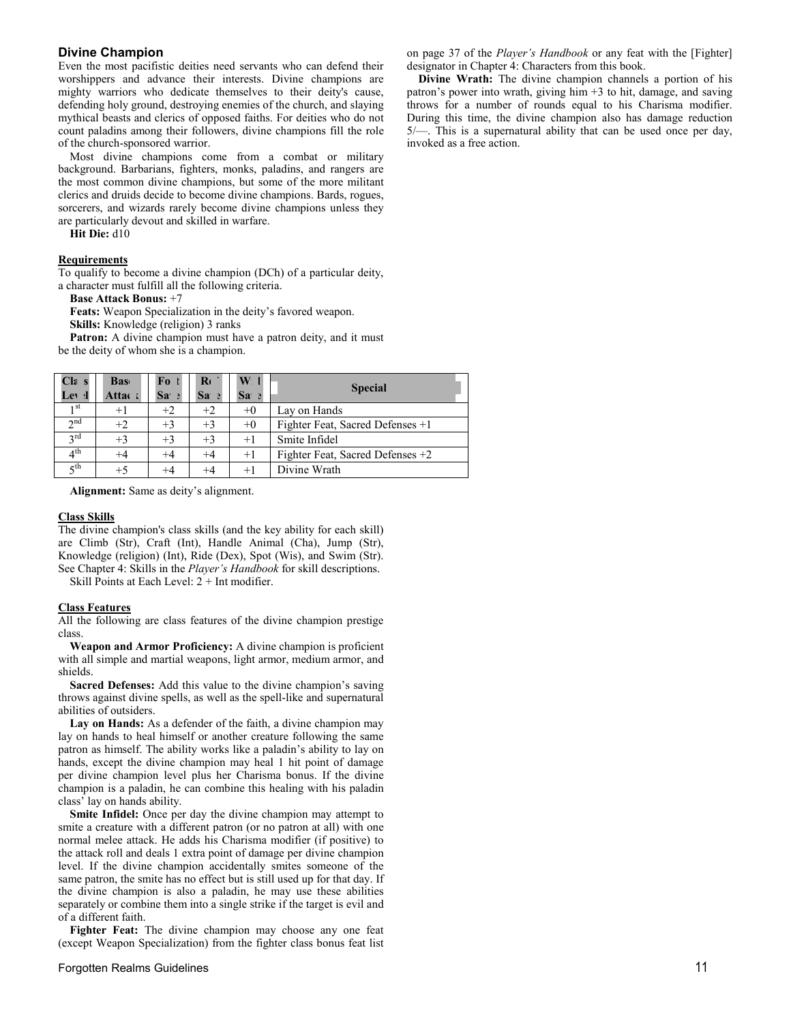# **Divine Champion**

Even the most pacifistic deities need servants who can defend their worshippers and advance their interests. Divine champions are mighty warriors who dedicate themselves to their deity's cause, defending holy ground, destroying enemies of the church, and slaying mythical beasts and clerics of opposed faiths. For deities who do not count paladins among their followers, divine champions fill the role of the church-sponsored warrior.

 Most divine champions come from a combat or military background. Barbarians, fighters, monks, paladins, and rangers are the most common divine champions, but some of the more militant clerics and druids decide to become divine champions. Bards, rogues, sorcerers, and wizards rarely become divine champions unless they are particularly devout and skilled in warfare.

**Hit Die:** d10

#### **Requirements**

To qualify to become a divine champion (DCh) of a particular deity, a character must fulfill all the following criteria.

**Base Attack Bonus:** +7

Feats: Weapon Specialization in the deity's favored weapon.

**Skills:** Knowledge (religion) 3 ranks

**Patron:** A divine champion must have a patron deity, and it must be the deity of whom she is a champion.

| Cla s<br>Lev d        | Bas<br><b>Atta</b> | Fo t<br>$S\mathbf{a}$ $\rightarrow$ | $\mathbf{R}$<br>$Sa$ : | $Wi$  <br>$\mathbf{S}\mathbf{a}$ $\mathbf{a}$ | <b>Special</b>                     |
|-----------------------|--------------------|-------------------------------------|------------------------|-----------------------------------------------|------------------------------------|
| 1 St                  | $+1$               | $+2$                                | $+2$                   | $+0$                                          | Lay on Hands                       |
| $\gamma$ nd           | $+2$               | $+3$                                | $+3$                   | $+0$                                          | Fighter Feat, Sacred Defenses +1   |
| 2rd                   | $+3$               | $+3$                                | $+3$                   | $+1$                                          | Smite Infidel                      |
| $4^{\text{th}}$       | $^{+4}$            | $^{+4}$                             | $+4$                   | $+1$                                          | Fighter Feat, Sacred Defenses $+2$ |
| $\zeta$ <sup>th</sup> | $+5$               | $^{+4}$                             | $^{+4}$                | $^{+1}$                                       | Divine Wrath                       |

Alignment: Same as deity's alignment.

#### **Class Skills**

The divine champion's class skills (and the key ability for each skill) are Climb (Str), Craft (Int), Handle Animal (Cha), Jump (Str), Knowledge (religion) (Int), Ride (Dex), Spot (Wis), and Swim (Str). See Chapter 4: Skills in the *Player's Handbook* for skill descriptions. Skill Points at Each Level:  $2 + Int$  modifier.

# **Class Features**

All the following are class features of the divine champion prestige class.

**Weapon and Armor Proficiency:** A divine champion is proficient with all simple and martial weapons, light armor, medium armor, and shields.

**Sacred Defenses:** Add this value to the divine champion's saving throws against divine spells, as well as the spell-like and supernatural abilities of outsiders.

**Lay on Hands:** As a defender of the faith, a divine champion may lay on hands to heal himself or another creature following the same patron as himself. The ability works like a paladin's ability to lay on hands, except the divine champion may heal 1 hit point of damage per divine champion level plus her Charisma bonus. If the divine champion is a paladin, he can combine this healing with his paladin class<sup>7</sup> lay on hands ability.

**Smite Infidel:** Once per day the divine champion may attempt to smite a creature with a different patron (or no patron at all) with one normal melee attack. He adds his Charisma modifier (if positive) to the attack roll and deals 1 extra point of damage per divine champion level. If the divine champion accidentally smites someone of the same patron, the smite has no effect but is still used up for that day. If the divine champion is also a paladin, he may use these abilities separately or combine them into a single strike if the target is evil and of a different faith.

**Fighter Feat:** The divine champion may choose any one feat (except Weapon Specialization) from the fighter class bonus feat list

on page 37 of the *Playerís Handbook* or any feat with the [Fighter] designator in Chapter 4: Characters from this book.

**Divine Wrath:** The divine champion channels a portion of his patron's power into wrath, giving him  $+3$  to hit, damage, and saving throws for a number of rounds equal to his Charisma modifier. During this time, the divine champion also has damage reduction  $5/$ . This is a supernatural ability that can be used once per day, invoked as a free action.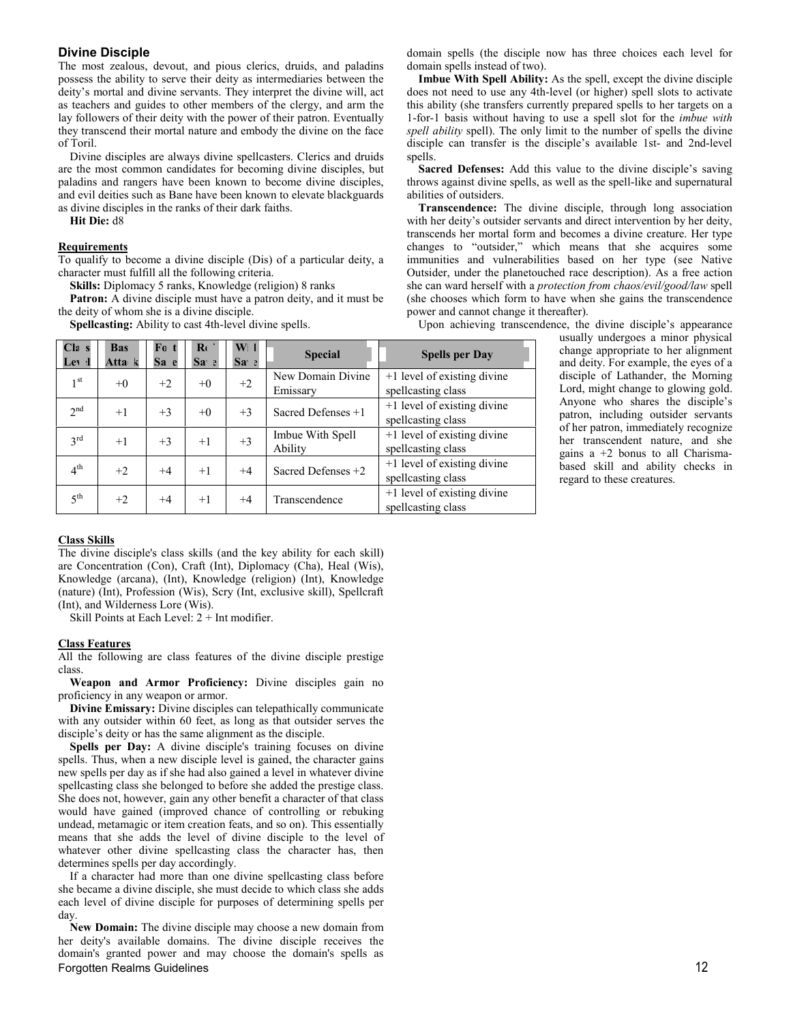### **Divine Disciple**

The most zealous, devout, and pious clerics, druids, and paladins possess the ability to serve their deity as intermediaries between the deity's mortal and divine servants. They interpret the divine will, act as teachers and guides to other members of the clergy, and arm the lay followers of their deity with the power of their patron. Eventually they transcend their mortal nature and embody the divine on the face of Toril.

 Divine disciples are always divine spellcasters. Clerics and druids are the most common candidates for becoming divine disciples, but paladins and rangers have been known to become divine disciples, and evil deities such as Bane have been known to elevate blackguards as divine disciples in the ranks of their dark faiths.

**Hit Die:** d8

## **Requirements**

To qualify to become a divine disciple (Dis) of a particular deity, a character must fulfill all the following criteria.

**Skills:** Diplomacy 5 ranks, Knowledge (religion) 8 ranks

Patron: A divine disciple must have a patron deity, and it must be the deity of whom she is a divine disciple.

**Spellcasting:** Ability to cast 4th-level divine spells.

domain spells (the disciple now has three choices each level for domain spells instead of two).

**Imbue With Spell Ability:** As the spell, except the divine disciple does not need to use any 4th-level (or higher) spell slots to activate this ability (she transfers currently prepared spells to her targets on a 1-for-1 basis without having to use a spell slot for the *imbue with spell ability* spell). The only limit to the number of spells the divine disciple can transfer is the disciple's available 1st- and 2nd-level spells.

Sacred Defenses: Add this value to the divine disciple's saving throws against divine spells, as well as the spell-like and supernatural abilities of outsiders.

**Transcendence:** The divine disciple, through long association with her deity's outsider servants and direct intervention by her deity, transcends her mortal form and becomes a divine creature. Her type changes to "outsider," which means that she acquires some immunities and vulnerabilities based on her type (see Native Outsider, under the planetouched race description). As a free action she can ward herself with a *protection from chaos/evil/good/law* spell (she chooses which form to have when she gains the transcendence power and cannot change it thereafter).

Upon achieving transcendence, the divine disciple's appearance

| Cla s<br>Lev :1 | <b>Bas</b><br>Atta k | $\mathbf{F}$ o t<br>Sa e | $\mathbf{R}$<br>$S\mathbf{a}$ $\mathbf{a}$ | Wi l<br>$S\mathbf{a}$ e | <b>Special</b>                | <b>Spells per Day</b>                             |
|-----------------|----------------------|--------------------------|--------------------------------------------|-------------------------|-------------------------------|---------------------------------------------------|
| 1 <sup>st</sup> | $+0$                 | $+2$                     | $+0$                                       | $+2$                    | New Domain Divine<br>Emissary | +1 level of existing divine<br>spellcasting class |
| 2 <sub>nd</sub> | $+1$                 | $+3$                     | $+0$                                       | $+3$                    | Sacred Defenses $+1$          | +1 level of existing divine<br>spellcasting class |
| 2rd             | $+1$                 | $+3$                     | $+1$                                       | $+3$                    | Imbue With Spell<br>Ability   | +1 level of existing divine<br>spellcasting class |
| 4 <sup>th</sup> | $+2$                 | $+4$                     | $+1$                                       | $+4$                    | Sacred Defenses +2            | +1 level of existing divine<br>spellcasting class |
| 5 <sup>th</sup> | $+2$                 | $+4$                     | $+1$                                       | $+4$                    | Transcendence                 | +1 level of existing divine<br>spellcasting class |

usually undergoes a minor physical change appropriate to her alignment and deity. For example, the eyes of a disciple of Lathander, the Morning Lord, might change to glowing gold. Anyone who shares the disciple's patron, including outsider servants of her patron, immediately recognize her transcendent nature, and she gains  $a +2$  bonus to all Charismabased skill and ability checks in regard to these creatures.

# **Class Skills**

The divine disciple's class skills (and the key ability for each skill) are Concentration (Con), Craft (Int), Diplomacy (Cha), Heal (Wis), Knowledge (arcana), (Int), Knowledge (religion) (Int), Knowledge (nature) (Int), Profession (Wis), Scry (Int, exclusive skill), Spellcraft (Int), and Wilderness Lore (Wis).

Skill Points at Each Level:  $2 + Int$  modifier.

#### **Class Features**

All the following are class features of the divine disciple prestige class.

**Weapon and Armor Proficiency:** Divine disciples gain no proficiency in any weapon or armor.

**Divine Emissary:** Divine disciples can telepathically communicate with any outsider within 60 feet, as long as that outsider serves the disciple's deity or has the same alignment as the disciple.

**Spells per Day:** A divine disciple's training focuses on divine spells. Thus, when a new disciple level is gained, the character gains new spells per day as if she had also gained a level in whatever divine spellcasting class she belonged to before she added the prestige class. She does not, however, gain any other benefit a character of that class would have gained (improved chance of controlling or rebuking undead, metamagic or item creation feats, and so on). This essentially means that she adds the level of divine disciple to the level of whatever other divine spellcasting class the character has, then determines spells per day accordingly.

 If a character had more than one divine spellcasting class before she became a divine disciple, she must decide to which class she adds each level of divine disciple for purposes of determining spells per day.

Forgotten Realms Guidelines 12 **New Domain:** The divine disciple may choose a new domain from her deity's available domains. The divine disciple receives the domain's granted power and may choose the domain's spells as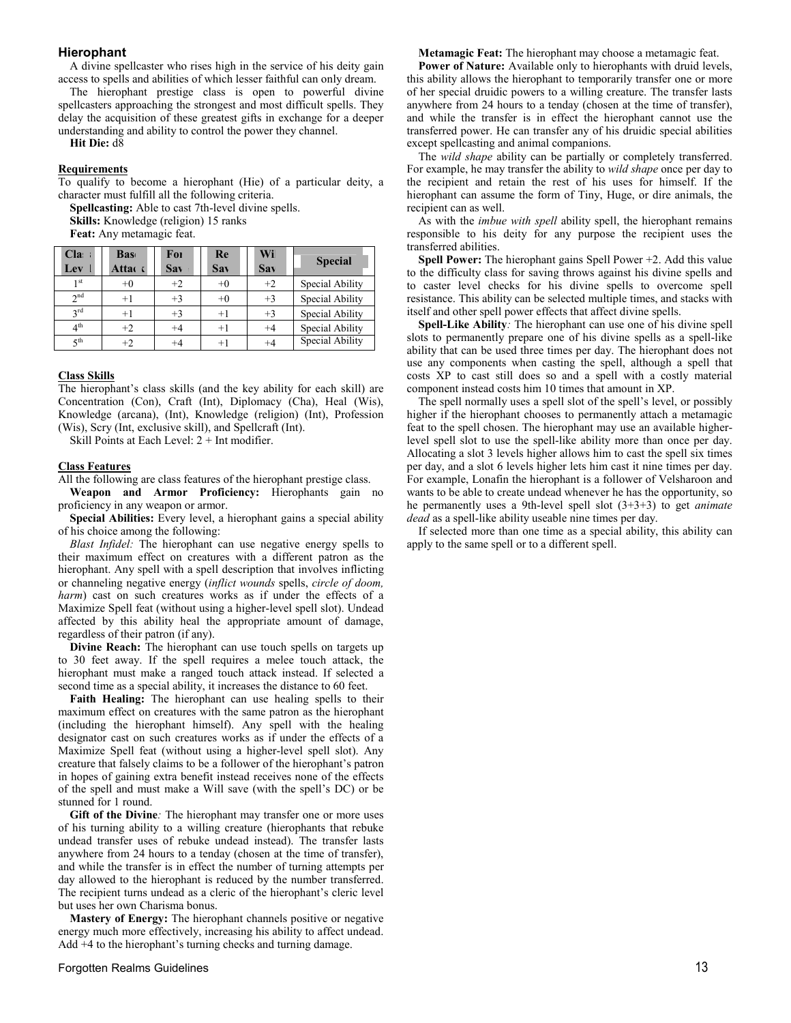#### **Hierophant**

A divine spellcaster who rises high in the service of his deity gain access to spells and abilities of which lesser faithful can only dream.

 The hierophant prestige class is open to powerful divine spellcasters approaching the strongest and most difficult spells. They delay the acquisition of these greatest gifts in exchange for a deeper understanding and ability to control the power they channel.

**Hit Die:** d8

#### **Requirements**

To qualify to become a hierophant (Hie) of a particular deity, a character must fulfill all the following criteria.

**Spellcasting:** Able to cast 7th-level divine spells. **Skills:** Knowledge (religion) 15 ranks

**Feat:** Any metamagic feat.

| Cla<br>Lev      | <b>Bas</b><br>Attac | For<br>Sav | Re<br>Sav | Wi<br>Sav | <b>Special</b>  |
|-----------------|---------------------|------------|-----------|-----------|-----------------|
| 1 <sup>st</sup> | $+0$                | $+2$       | $+0$      | $+2$      | Special Ability |
| 2 <sub>nd</sub> | $+1$                | $+3$       | $+0$      | $+3$      | Special Ability |
| $3^{\text{rd}}$ | $+1$                | $+3$       | $+1$      | $+3$      | Special Ability |
| 4 <sup>th</sup> | $+2$                | $+4$       | $+1$      | $+4$      | Special Ability |
| 5 <sup>th</sup> | $+2$                | $^{+4}$    | $+1$      | $+4$      | Special Ability |

# **Class Skills**

The hierophant's class skills (and the key ability for each skill) are Concentration (Con), Craft (Int), Diplomacy (Cha), Heal (Wis), Knowledge (arcana), (Int), Knowledge (religion) (Int), Profession (Wis), Scry (Int, exclusive skill), and Spellcraft (Int).

Skill Points at Each Level: 2 + Int modifier.

#### **Class Features**

All the following are class features of the hierophant prestige class.

**Weapon and Armor Proficiency:** Hierophants gain no proficiency in any weapon or armor.

**Special Abilities:** Every level, a hierophant gains a special ability of his choice among the following:

 *Blast Infidel:* The hierophant can use negative energy spells to their maximum effect on creatures with a different patron as the hierophant. Any spell with a spell description that involves inflicting or channeling negative energy (*inflict wounds* spells, *circle of doom, harm*) cast on such creatures works as if under the effects of a Maximize Spell feat (without using a higher-level spell slot). Undead affected by this ability heal the appropriate amount of damage, regardless of their patron (if any).

**Divine Reach:** The hierophant can use touch spells on targets up to 30 feet away. If the spell requires a melee touch attack, the hierophant must make a ranged touch attack instead. If selected a second time as a special ability, it increases the distance to 60 feet.

**Faith Healing:** The hierophant can use healing spells to their maximum effect on creatures with the same patron as the hierophant (including the hierophant himself). Any spell with the healing designator cast on such creatures works as if under the effects of a Maximize Spell feat (without using a higher-level spell slot). Any creature that falsely claims to be a follower of the hierophant's patron in hopes of gaining extra benefit instead receives none of the effects of the spell and must make a Will save (with the spell's DC) or be stunned for 1 round.

 **Gift of the Divine***:* The hierophant may transfer one or more uses of his turning ability to a willing creature (hierophants that rebuke undead transfer uses of rebuke undead instead). The transfer lasts anywhere from 24 hours to a tenday (chosen at the time of transfer), and while the transfer is in effect the number of turning attempts per day allowed to the hierophant is reduced by the number transferred. The recipient turns undead as a cleric of the hierophant's cleric level but uses her own Charisma bonus.

**Mastery of Energy:** The hierophant channels positive or negative energy much more effectively, increasing his ability to affect undead. Add  $+4$  to the hierophant's turning checks and turning damage.

**Metamagic Feat:** The hierophant may choose a metamagic feat.

**Power of Nature:** Available only to hierophants with druid levels, this ability allows the hierophant to temporarily transfer one or more of her special druidic powers to a willing creature. The transfer lasts anywhere from 24 hours to a tenday (chosen at the time of transfer), and while the transfer is in effect the hierophant cannot use the transferred power. He can transfer any of his druidic special abilities except spellcasting and animal companions.

 The *wild shape* ability can be partially or completely transferred. For example, he may transfer the ability to *wild shape* once per day to the recipient and retain the rest of his uses for himself. If the hierophant can assume the form of Tiny, Huge, or dire animals, the recipient can as well.

 As with the *imbue with spell* ability spell, the hierophant remains responsible to his deity for any purpose the recipient uses the transferred abilities.

**Spell Power:** The hierophant gains Spell Power +2. Add this value to the difficulty class for saving throws against his divine spells and to caster level checks for his divine spells to overcome spell resistance. This ability can be selected multiple times, and stacks with itself and other spell power effects that affect divine spells.

 **Spell-Like Ability***:* The hierophant can use one of his divine spell slots to permanently prepare one of his divine spells as a spell-like ability that can be used three times per day. The hierophant does not use any components when casting the spell, although a spell that costs XP to cast still does so and a spell with a costly material component instead costs him 10 times that amount in XP.

The spell normally uses a spell slot of the spell's level, or possibly higher if the hierophant chooses to permanently attach a metamagic feat to the spell chosen. The hierophant may use an available higherlevel spell slot to use the spell-like ability more than once per day. Allocating a slot 3 levels higher allows him to cast the spell six times per day, and a slot 6 levels higher lets him cast it nine times per day. For example, Lonafin the hierophant is a follower of Velsharoon and wants to be able to create undead whenever he has the opportunity, so he permanently uses a 9th-level spell slot (3+3+3) to get *animate dead* as a spell-like ability useable nine times per day.

 If selected more than one time as a special ability, this ability can apply to the same spell or to a different spell.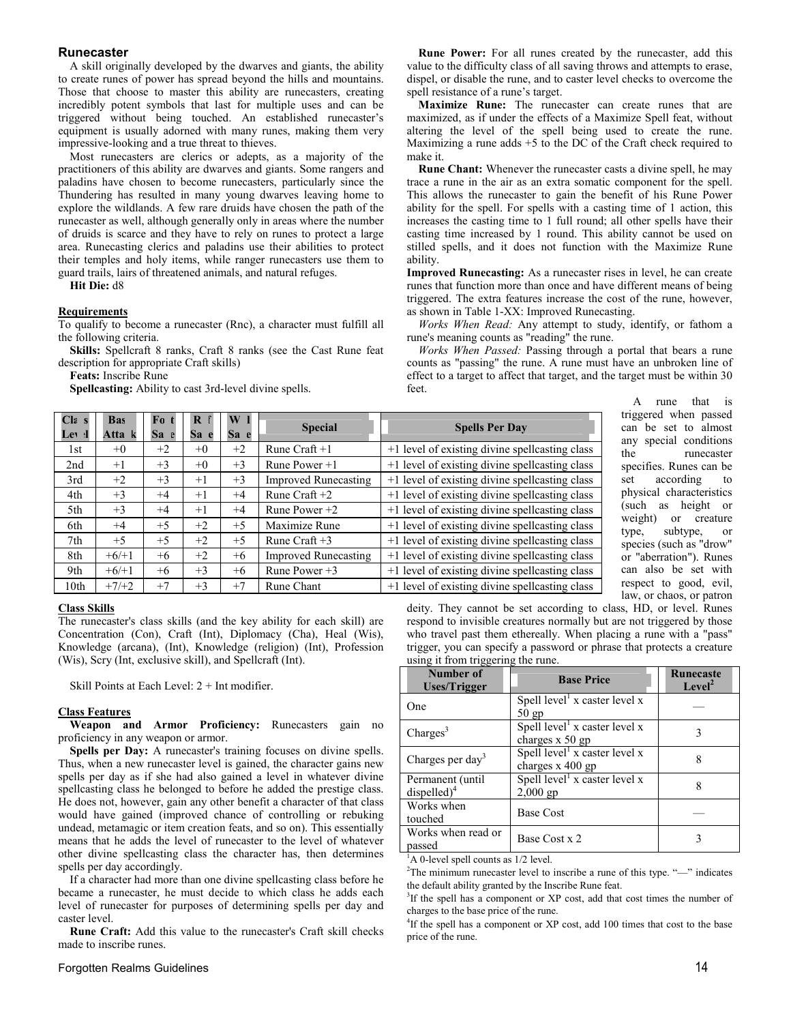#### **Runecaster**

A skill originally developed by the dwarves and giants, the ability to create runes of power has spread beyond the hills and mountains. Those that choose to master this ability are runecasters, creating incredibly potent symbols that last for multiple uses and can be triggered without being touched. An established runecaster's equipment is usually adorned with many runes, making them very impressive-looking and a true threat to thieves.

 Most runecasters are clerics or adepts, as a majority of the practitioners of this ability are dwarves and giants. Some rangers and paladins have chosen to become runecasters, particularly since the Thundering has resulted in many young dwarves leaving home to explore the wildlands. A few rare druids have chosen the path of the runecaster as well, although generally only in areas where the number of druids is scarce and they have to rely on runes to protect a large area. Runecasting clerics and paladins use their abilities to protect their temples and holy items, while ranger runecasters use them to guard trails, lairs of threatened animals, and natural refuges.

**Hit Die:** d8

# **Requirements**

To qualify to become a runecaster (Rnc), a character must fulfill all the following criteria.

 **Skills:** Spellcraft 8 ranks, Craft 8 ranks (see the Cast Rune feat description for appropriate Craft skills)

**Feats:** Inscribe Rune

**Spellcasting:** Ability to cast 3rd-level divine spells.

**Rune Power:** For all runes created by the runecaster, add this value to the difficulty class of all saving throws and attempts to erase, dispel, or disable the rune, and to caster level checks to overcome the spell resistance of a rune's target.

**Maximize Rune:** The runecaster can create runes that are maximized, as if under the effects of a Maximize Spell feat, without altering the level of the spell being used to create the rune. Maximizing a rune adds +5 to the DC of the Craft check required to make it.

**Rune Chant:** Whenever the runecaster casts a divine spell, he may trace a rune in the air as an extra somatic component for the spell. This allows the runecaster to gain the benefit of his Rune Power ability for the spell. For spells with a casting time of 1 action, this increases the casting time to 1 full round; all other spells have their casting time increased by 1 round. This ability cannot be used on stilled spells, and it does not function with the Maximize Rune ability.

**Improved Runecasting:** As a runecaster rises in level, he can create runes that function more than once and have different means of being triggered. The extra features increase the cost of the rune, however, as shown in Table 1-XX: Improved Runecasting.

*Works When Read:* Any attempt to study, identify, or fathom a rune's meaning counts as "reading" the rune.

*Works When Passed:* Passing through a portal that bears a rune counts as "passing" the rune. A rune must have an unbroken line of effect to a target to affect that target, and the target must be within 30 feet.

| Cla <sub>s</sub><br>Lev 4 | <b>Bas</b><br>Atta k | Fo.<br>Sa<br>P. | R<br>Sa<br>e | W<br>Sa<br>$\mathbf{e}$ | <b>Special</b>              | <b>Spells Per Day</b>                          |
|---------------------------|----------------------|-----------------|--------------|-------------------------|-----------------------------|------------------------------------------------|
| 1st                       | $+0$                 | $+2$            | $+0$         | $+2$                    | Rune Craft $+1$             | +1 level of existing divine spellcasting class |
| 2nd                       | $+1$                 | $+3$            | $+0$         | $+3$                    | Rune Power $+1$             | +1 level of existing divine spellcasting class |
| 3rd                       | $+2$                 | $+3$            | $+1$         | $+3$                    | <b>Improved Runecasting</b> | +1 level of existing divine spellcasting class |
| 4th                       | $+3$                 | $+4$            | $+1$         | $+4$                    | Rune Craft $+2$             | +1 level of existing divine spellcasting class |
| 5th                       | $+3$                 | $+4$            | $+1$         | $+4$                    | Rune Power $+2$             | +1 level of existing divine spellcasting class |
| 6th                       | $+4$                 | $+5$            | $+2$         | $+5$                    | Maximize Rune               | +1 level of existing divine spellcasting class |
| 7th                       | $+5$                 | $+5$            | $+2$         | $+5$                    | Rune Craft $+3$             | +1 level of existing divine spellcasting class |
| 8th                       | $+6/+1$              | $+6$            | $+2$         | $+6$                    | <b>Improved Runecasting</b> | +1 level of existing divine spellcasting class |
| 9th                       | $+6/+1$              | $+6$            | $+3$         | $+6$                    | Rune Power $+3$             | +1 level of existing divine spellcasting class |
| 10 <sub>th</sub>          | $+7/+2$              | $+7$            | $+3$         | $+7$                    | Rune Chant                  | +1 level of existing divine spellcasting class |

 A rune that is triggered when passed can be set to almost any special conditions the runecaster specifies. Runes can be set according to physical characteristics (such as height or weight) or creature type, subtype, or species (such as "drow" or "aberration"). Runes can also be set with respect to good, evil, law, or chaos, or patron

## **Class Skills**

The runecaster's class skills (and the key ability for each skill) are Concentration (Con), Craft (Int), Diplomacy (Cha), Heal (Wis), Knowledge (arcana), (Int), Knowledge (religion) (Int), Profession (Wis), Scry (Int, exclusive skill), and Spellcraft (Int).

Skill Points at Each Level: 2 + Int modifier.

#### **Class Features**

**Weapon and Armor Proficiency:** Runecasters gain no proficiency in any weapon or armor.

**Spells per Day:** A runecaster's training focuses on divine spells. Thus, when a new runecaster level is gained, the character gains new spells per day as if she had also gained a level in whatever divine spellcasting class he belonged to before he added the prestige class. He does not, however, gain any other benefit a character of that class would have gained (improved chance of controlling or rebuking undead, metamagic or item creation feats, and so on). This essentially means that he adds the level of runecaster to the level of whatever other divine spellcasting class the character has, then determines spells per day accordingly.

 If a character had more than one divine spellcasting class before he became a runecaster, he must decide to which class he adds each level of runecaster for purposes of determining spells per day and caster level.

**Rune Craft:** Add this value to the runecaster's Craft skill checks made to inscribe runes.

Forgotten Realms Guidelines 14

deity. They cannot be set according to class, HD, or level. Runes respond to invisible creatures normally but are not triggered by those who travel past them ethereally. When placing a rune with a "pass" trigger, you can specify a password or phrase that protects a creature using it from triggering the rune.

| ىت<br>Number of<br><b>Uses/Trigger</b>     | <b>Base Price</b>                                              | <b>Runecaste</b><br>Level <sup>2</sup> |
|--------------------------------------------|----------------------------------------------------------------|----------------------------------------|
| One                                        | Spell level <sup>1</sup> x caster level x<br>50 <sub>gp</sub>  |                                        |
| Charges <sup>3</sup>                       | Spell level <sup>1</sup> x caster level x<br>charges $x 50 gp$ |                                        |
| Charges per day <sup>3</sup>               | Spell level <sup>1</sup> x caster level x<br>charges x 400 gp  | 8                                      |
| Permanent (until<br>dispelled <sup>4</sup> | Spell level <sup>1</sup> x caster level x<br>$2,000$ gp        | 8                                      |
| Works when<br>touched                      | <b>Base Cost</b>                                               |                                        |
| Works when read or<br>passed               | Base Cost x 2                                                  | ٩                                      |
| .                                          | .                                                              |                                        |

<sup>1</sup>A 0-level spell counts as 1/2 level.

<sup>2</sup>The minimum runecaster level to inscribe a rune of this type. " $\rightarrow$ " indicates the default ability granted by the Inscribe Rune feat.

<sup>3</sup>If the spell has a component or XP cost, add that cost times the number of charges to the base price of the rune.

<sup>4</sup>If the spell has a component or XP cost, add 100 times that cost to the base price of the rune.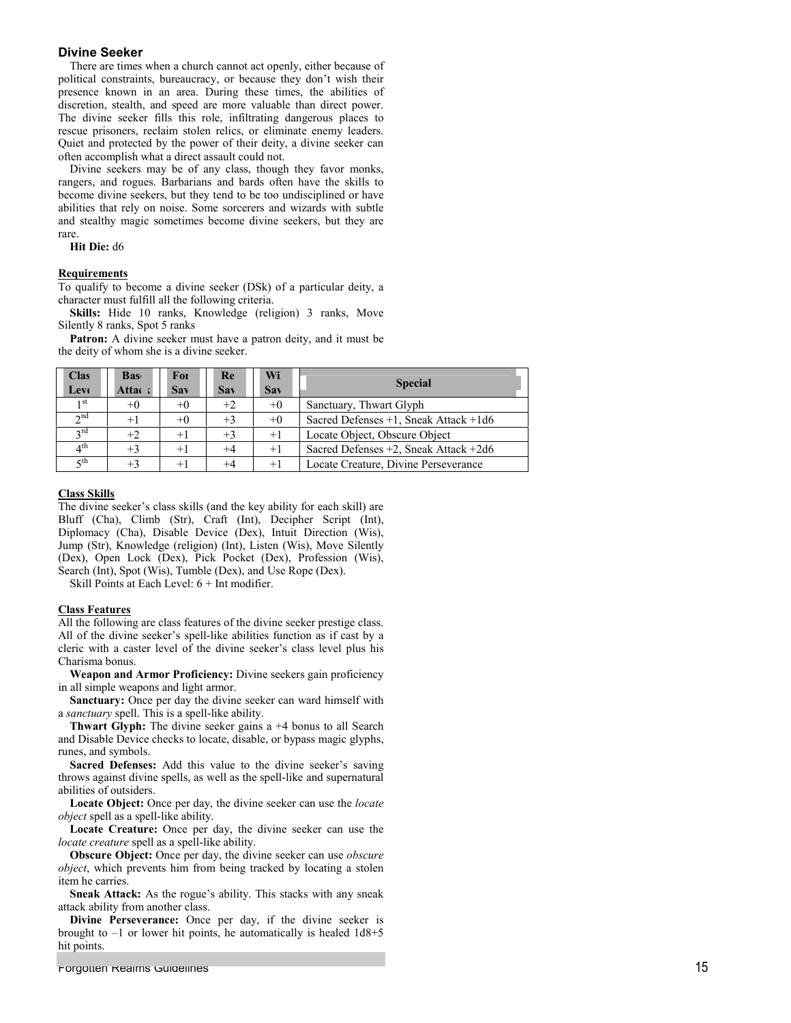# **Divine Seeker**

There are times when a church cannot act openly, either because of political constraints, bureaucracy, or because they don't wish their presence known in an area. During these times, the abilities of discretion, stealth, and speed are more valuable than direct power. The divine seeker fills this role, infiltrating dangerous places to rescue prisoners, reclaim stolen relics, or eliminate enemy leaders. Quiet and protected by the power of their deity, a divine seeker can often accomplish what a direct assault could not.

 Divine seekers may be of any class, though they favor monks, rangers, and rogues. Barbarians and bards often have the skills to become divine seekers, but they tend to be too undisciplined or have abilities that rely on noise. Some sorcerers and wizards with subtle and stealthy magic sometimes become divine seekers, but they are rare.

**Hit Die:** d6

## **Requirements**

To qualify to become a divine seeker (DSk) of a particular deity, a character must fulfill all the following criteria.

**Skills:** Hide 10 ranks, Knowledge (religion) 3 ranks, Move Silently 8 ranks, Spot 5 ranks

**Patron:** A divine seeker must have a patron deity, and it must be the deity of whom she is a divine seeker.

| <b>Clas</b><br>Leve | Bas<br><b>Attac</b> | For<br>Sav | Re<br>Sav | Wi<br>Sav | <b>Special</b>                             |
|---------------------|---------------------|------------|-----------|-----------|--------------------------------------------|
| 1 <sup>st</sup>     | $+0$                | $+0$       | $+2$      | $+0$      | Sanctuary, Thwart Glyph                    |
| $\gamma$ nd         | $+1$                | $+0$       | $+3$      | $+0$      | Sacred Defenses $+1$ , Sneak Attack $+1d6$ |
| $2$ rd              | $+2$                | $+1$       | $+3$      | $+1$      | Locate Object, Obscure Object              |
| $4^{\text{th}}$     | $+3$                | $+1$       | $^{+4}$   | $+1$      | Sacred Defenses $+2$ , Sneak Attack $+2d6$ |
| $5$ <sup>th</sup>   | $+3$                | $+1$       | $+4$      | $+1$      | Locate Creature, Divine Perseverance       |

#### **Class Skills**

The divine seeker's class skills (and the key ability for each skill) are Bluff (Cha), Climb (Str), Craft (Int), Decipher Script (Int), Diplomacy (Cha), Disable Device (Dex), Intuit Direction (Wis), Jump (Str), Knowledge (religion) (Int), Listen (Wis), Move Silently (Dex), Open Lock (Dex), Pick Pocket (Dex), Profession (Wis), Search (Int), Spot (Wis), Tumble (Dex), and Use Rope (Dex).

Skill Points at Each Level: 6 + Int modifier.

#### **Class Features**

All the following are class features of the divine seeker prestige class. All of the divine seeker's spell-like abilities function as if cast by a cleric with a caster level of the divine seeker's class level plus his Charisma bonus.

**Weapon and Armor Proficiency:** Divine seekers gain proficiency in all simple weapons and light armor.

**Sanctuary:** Once per day the divine seeker can ward himself with a *sanctuary* spell. This is a spell-like ability.

**Thwart Glyph:** The divine seeker gains a +4 bonus to all Search and Disable Device checks to locate, disable, or bypass magic glyphs, runes, and symbols.

**Sacred Defenses:** Add this value to the divine seeker's saving throws against divine spells, as well as the spell-like and supernatural abilities of outsiders.

**Locate Object:** Once per day, the divine seeker can use the *locate object* spell as a spell-like ability.

**Locate Creature:** Once per day, the divine seeker can use the *locate creature* spell as a spell-like ability.

**Obscure Object:** Once per day, the divine seeker can use *obscure object*, which prevents him from being tracked by locating a stolen item he carries.

**Sneak Attack:** As the rogue's ability. This stacks with any sneak attack ability from another class.

**Divine Perseverance:** Once per day, if the divine seeker is brought to  $-1$  or lower hit points, he automatically is healed  $1d8+5$ hit points.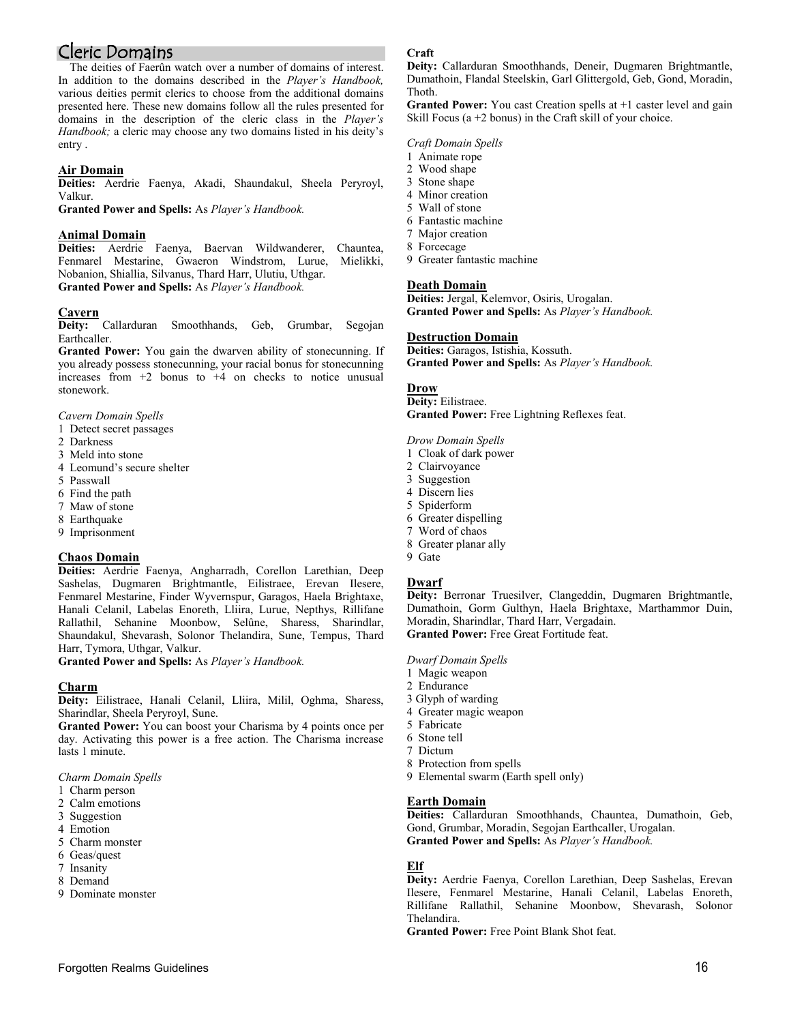Cleric Domains<br>The deities of Faerûn watch over a number of domains of interest. In addition to the domains described in the *Player's Handbook*, various deities permit clerics to choose from the additional domains presented here. These new domains follow all the rules presented for domains in the description of the cleric class in the *Player's Handbook;* a cleric may choose any two domains listed in his deity's entry .

# **Air Domain**

**Deities:** Aerdrie Faenya, Akadi, Shaundakul, Sheela Peryroyl, Valkur.

**Granted Power and Spells:** As *Player's Handbook.* 

# **Animal Domain**

**Deities:** Aerdrie Faenya, Baervan Wildwanderer, Chauntea, Fenmarel Mestarine, Gwaeron Windstrom, Lurue, Mielikki, Nobanion, Shiallia, Silvanus, Thard Harr, Ulutiu, Uthgar. **Granted Power and Spells:** As *Player's Handbook.* 

# **Cavern**<br>Deity:

Callarduran Smoothhands, Geb, Grumbar, Segojan Earthcaller.

**Granted Power:** You gain the dwarven ability of stonecunning. If you already possess stonecunning, your racial bonus for stonecunning increases from  $+2$  bonus to  $+4$  on checks to notice unusual stonework.

*Cavern Domain Spells* 

- 1 Detect secret passages
- 2 Darkness
- 3 Meld into stone
- 4 Leomund's secure shelter
- 5 Passwall
- 6 Find the path
- 7 Maw of stone
- 8 Earthquake
- 9 Imprisonment

# **Chaos Domain**

**Deities:** Aerdrie Faenya, Angharradh, Corellon Larethian, Deep Sashelas, Dugmaren Brightmantle, Eilistraee, Erevan Ilesere, Fenmarel Mestarine, Finder Wyvernspur, Garagos, Haela Brightaxe, Hanali Celanil, Labelas Enoreth, Lliira, Lurue, Nepthys, Rillifane Rallathil, Sehanine Moonbow, Selûne, Sharess, Sharindlar, Shaundakul, Shevarash, Solonor Thelandira, Sune, Tempus, Thard Harr, Tymora, Uthgar, Valkur.

**Granted Power and Spells:** As *Player's Handbook.* 

# **Charm**

**Deity:** Eilistraee, Hanali Celanil, Lliira, Milil, Oghma, Sharess, Sharindlar, Sheela Peryroyl, Sune.

**Granted Power:** You can boost your Charisma by 4 points once per day. Activating this power is a free action. The Charisma increase lasts 1 minute.

*Charm Domain Spells* 

- 1 Charm person
- 2 Calm emotions
- 3 Suggestion
- 4 Emotion
- 5 Charm monster
- 6 Geas/quest
- 7 Insanity
- 8 Demand
- 9 Dominate monster

## **Craft**

**Deity:** Callarduran Smoothhands, Deneir, Dugmaren Brightmantle, Dumathoin, Flandal Steelskin, Garl Glittergold, Geb, Gond, Moradin, Thoth.

**Granted Power:** You cast Creation spells at +1 caster level and gain Skill Focus ( $a + 2$  bonus) in the Craft skill of your choice.

*Craft Domain Spells* 

- 1 Animate rope
- 2 Wood shape
- 3 Stone shape
- 4 Minor creation
- 5 Wall of stone
- 6 Fantastic machine
- 7 Major creation
- 8 Forcecage
- 9 Greater fantastic machine

#### **Death Domain**

**Deities:** Jergal, Kelemvor, Osiris, Urogalan. **Granted Power and Spells:** As *Player's Handbook.* 

#### **Destruction Domain**

**Deities:** Garagos, Istishia, Kossuth. Granted Power and Spells: As Player's Handbook.

# **Drow**

**Deity:** Eilistraee. **Granted Power:** Free Lightning Reflexes feat.

*Drow Domain Spells* 

- 1 Cloak of dark power
- 2 Clairvoyance
- 3 Suggestion
- 4 Discern lies
- 5 Spiderform
- 6 Greater dispelling
- 7 Word of chaos
- 8 Greater planar ally
- 9 Gate

# **Dwarf**

**Deity:** Berronar Truesilver, Clangeddin, Dugmaren Brightmantle, Dumathoin, Gorm Gulthyn, Haela Brightaxe, Marthammor Duin, Moradin, Sharindlar, Thard Harr, Vergadain. **Granted Power:** Free Great Fortitude feat.

*Dwarf Domain Spells* 

- 1 Magic weapon
- 2 Endurance
- 3 Glyph of warding
- 4 Greater magic weapon
- 5 Fabricate
- 6 Stone tell
- Dictum
- 8 Protection from spells
- 9 Elemental swarm (Earth spell only)

# **Earth Domain**

**Deities:** Callarduran Smoothhands, Chauntea, Dumathoin, Geb, Gond, Grumbar, Moradin, Segojan Earthcaller, Urogalan. **Granted Power and Spells:** As *Player's Handbook.* 

#### **Elf**

**Deity:** Aerdrie Faenya, Corellon Larethian, Deep Sashelas, Erevan Ilesere, Fenmarel Mestarine, Hanali Celanil, Labelas Enoreth, Rillifane Rallathil, Sehanine Moonbow, Shevarash, Solonor Thelandira.

**Granted Power:** Free Point Blank Shot feat.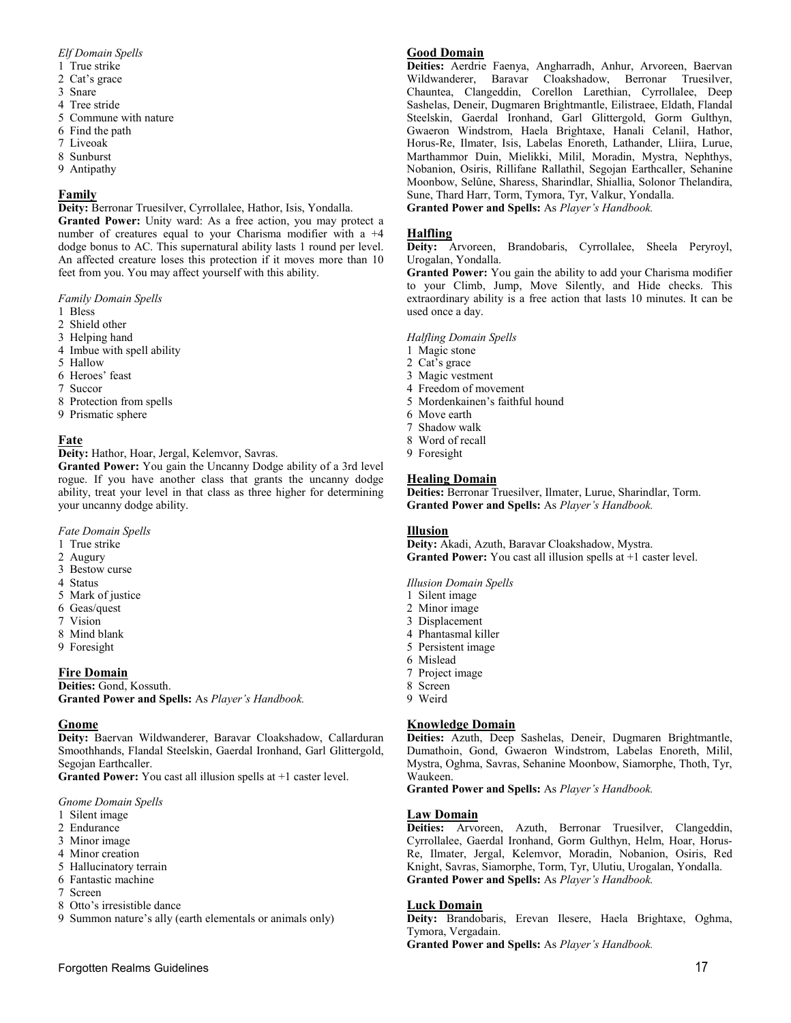#### *Elf Domain Spells*

- 1 True strike
- 2 Cat's grace
- 3 Snare
- 4 Tree stride
- 5 Commune with nature
- 6 Find the path
- 7 Liveoak
- 8 Sunburst
- 9 Antipathy

# **Family**

**Deity:** Berronar Truesilver, Cyrrollalee, Hathor, Isis, Yondalla. **Granted Power:** Unity ward: As a free action, you may protect a number of creatures equal to your Charisma modifier with a +4 dodge bonus to AC. This supernatural ability lasts 1 round per level. An affected creature loses this protection if it moves more than 10 feet from you. You may affect yourself with this ability.

*Family Domain Spells* 

- 1 Bless
- 2 Shield other
- 3 Helping hand
- 4 Imbue with spell ability
- 5 Hallow
- 6 Heroes' feast
- 7 Succor
- 8 Protection from spells
- 9 Prismatic sphere

# **Fate**

**Deity:** Hathor, Hoar, Jergal, Kelemvor, Savras.

**Granted Power:** You gain the Uncanny Dodge ability of a 3rd level rogue. If you have another class that grants the uncanny dodge ability, treat your level in that class as three higher for determining your uncanny dodge ability.

*Fate Domain Spells*

- 1 True strike
- 2 Augury
- 3 Bestow curse
- 4 Status
- 5 Mark of justice
- 6 Geas/quest
- 7 Vision
- 8 Mind blank
- 9 Foresight

# **Fire Domain**

**Deities:** Gond, Kossuth. **Granted Power and Spells:** As *Player's Handbook.* 

# **Gnome**

**Deity:** Baervan Wildwanderer, Baravar Cloakshadow, Callarduran Smoothhands, Flandal Steelskin, Gaerdal Ironhand, Garl Glittergold, Segojan Earthcaller.

**Granted Power:** You cast all illusion spells at +1 caster level.

*Gnome Domain Spells*

- 1 Silent image
- 2 Endurance
- 3 Minor image
- 4 Minor creation
- 5 Hallucinatory terrain
- 6 Fantastic machine
- 7 Screen
- 8 Otto's irresistible dance
- 9 Summon nature's ally (earth elementals or animals only)

# **Good Domain**

**Deities:** Aerdrie Faenya, Angharradh, Anhur, Arvoreen, Baervan Wildwanderer, Baravar Cloakshadow, Berronar Truesilver, Chauntea, Clangeddin, Corellon Larethian, Cyrrollalee, Deep Sashelas, Deneir, Dugmaren Brightmantle, Eilistraee, Eldath, Flandal Steelskin, Gaerdal Ironhand, Garl Glittergold, Gorm Gulthyn, Gwaeron Windstrom, Haela Brightaxe, Hanali Celanil, Hathor, Horus-Re, Ilmater, Isis, Labelas Enoreth, Lathander, Lliira, Lurue, Marthammor Duin, Mielikki, Milil, Moradin, Mystra, Nephthys, Nobanion, Osiris, Rillifane Rallathil, Segojan Earthcaller, Sehanine Moonbow, Selûne, Sharess, Sharindlar, Shiallia, Solonor Thelandira, Sune, Thard Harr, Torm, Tymora, Tyr, Valkur, Yondalla. **Granted Power and Spells:** As *Player's Handbook.* 

# **Halfling**

**Deity:** Arvoreen, Brandobaris, Cyrrollalee, Sheela Peryroyl, Urogalan, Yondalla.

**Granted Power:** You gain the ability to add your Charisma modifier to your Climb, Jump, Move Silently, and Hide checks. This extraordinary ability is a free action that lasts 10 minutes. It can be used once a day.

#### *Halfling Domain Spells*

- 1 Magic stone
- 2 Cat's grace
- 3 Magic vestment
- 4 Freedom of movement
- 5 Mordenkainen's faithful hound
- 6 Move earth
- 7 Shadow walk
- 8 Word of recall
- 9 Foresight

# **Healing Domain**

**Deities:** Berronar Truesilver, Ilmater, Lurue, Sharindlar, Torm. **Granted Power and Spells:** As *Player's Handbook.* 

# **Illusion**

**Deity:** Akadi, Azuth, Baravar Cloakshadow, Mystra. **Granted Power:** You cast all illusion spells at +1 caster level.

*Illusion Domain Spells* 

- 1 Silent image
- 2 Minor image
- 3 Displacement
- 4 Phantasmal killer
- 5 Persistent image
- 6 Mislead
- 7 Project image
- 8 Screen
- 9 Weird

# **Knowledge Domain**

**Deities:** Azuth, Deep Sashelas, Deneir, Dugmaren Brightmantle, Dumathoin, Gond, Gwaeron Windstrom, Labelas Enoreth, Milil, Mystra, Oghma, Savras, Sehanine Moonbow, Siamorphe, Thoth, Tyr, Waukeen.

Granted Power and Spells: As Player's Handbook.

#### **Law Domain**

**Deities:** Arvoreen, Azuth, Berronar Truesilver, Clangeddin, Cyrrollalee, Gaerdal Ironhand, Gorm Gulthyn, Helm, Hoar, Horus-Re, Ilmater, Jergal, Kelemvor, Moradin, Nobanion, Osiris, Red Knight, Savras, Siamorphe, Torm, Tyr, Ulutiu, Urogalan, Yondalla. **Granted Power and Spells:** As *Player's Handbook.* 

# **Luck Domain**

**Deity:** Brandobaris, Erevan Ilesere, Haela Brightaxe, Oghma, Tymora, Vergadain.

**Granted Power and Spells:** As *Player's Handbook.*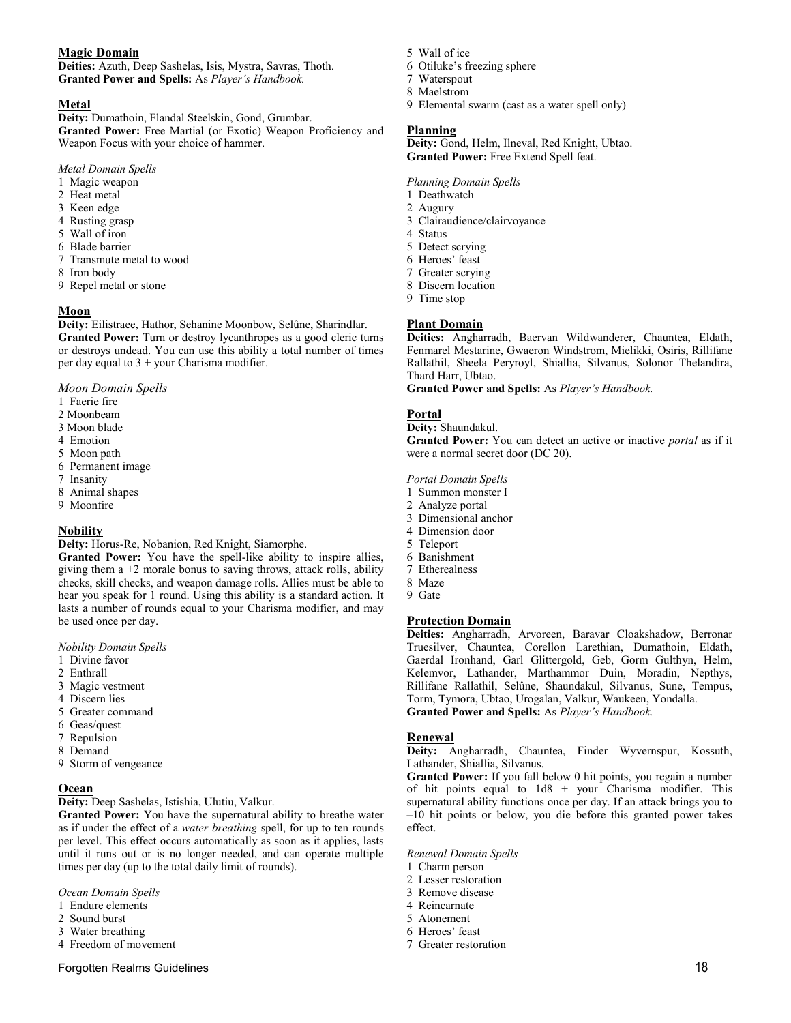# **Magic Domain**

**Deities:** Azuth, Deep Sashelas, Isis, Mystra, Savras, Thoth. **Granted Power and Spells:** As *Player's Handbook.* 

# **Metal**

**Deity:** Dumathoin, Flandal Steelskin, Gond, Grumbar.

**Granted Power:** Free Martial (or Exotic) Weapon Proficiency and Weapon Focus with your choice of hammer.

*Metal Domain Spells* 

- 1 Magic weapon
- 2 Heat metal
- 3 Keen edge
- 4 Rusting grasp
- 5 Wall of iron
- 6 Blade barrier
- 7 Transmute metal to wood
- 8 Iron body
- 9 Repel metal or stone

# **Moon**

**Deity:** Eilistraee, Hathor, Sehanine Moonbow, Selûne, Sharindlar. **Granted Power:** Turn or destroy lycanthropes as a good cleric turns or destroys undead. You can use this ability a total number of times per day equal to  $3 +$  your Charisma modifier.

*Moon Domain Spells* 

- 1 Faerie fire
- 2 Moonbeam
- 3 Moon blade
- 4 Emotion
- 5 Moon path
- 6 Permanent image
- 7 Insanity
- 8 Animal shapes
- 9 Moonfire

## **Nobility**

**Deity:** Horus-Re, Nobanion, Red Knight, Siamorphe.

**Granted Power:** You have the spell-like ability to inspire allies, giving them  $a + 2$  morale bonus to saving throws, attack rolls, ability checks, skill checks, and weapon damage rolls. Allies must be able to hear you speak for 1 round. Using this ability is a standard action. It lasts a number of rounds equal to your Charisma modifier, and may be used once per day.

*Nobility Domain Spells* 

- 1 Divine favor
- 2 Enthrall
- 3 Magic vestment
- 4 Discern lies
- 5 Greater command
- 6 Geas/quest
- 7 Repulsion
- 8 Demand
- 9 Storm of vengeance

# **Ocean**

**Deity:** Deep Sashelas, Istishia, Ulutiu, Valkur.

**Granted Power:** You have the supernatural ability to breathe water as if under the effect of a *water breathing* spell, for up to ten rounds per level. This effect occurs automatically as soon as it applies, lasts until it runs out or is no longer needed, and can operate multiple times per day (up to the total daily limit of rounds).

*Ocean Domain Spells* 

- 1 Endure elements
- 2 Sound burst
- 3 Water breathing
- 4 Freedom of movement

# Forgotten Realms Guidelines 18

- 5 Wall of ice
- 6 Otiluke's freezing sphere
- 7 Waterspout
- 8 Maelstrom
- 9 Elemental swarm (cast as a water spell only)

# **Planning**

**Deity:** Gond, Helm, Ilneval, Red Knight, Ubtao. **Granted Power:** Free Extend Spell feat.

*Planning Domain Spells* 

- 1 Deathwatch
- 2 Augury
- 3 Clairaudience/clairvoyance
- 4 Status
- 5 Detect scrying
- 6 Heroes' feast
- 7 Greater scrying
- 8 Discern location
- 9 Time stop

# **Plant Domain**

**Deities:** Angharradh, Baervan Wildwanderer, Chauntea, Eldath, Fenmarel Mestarine, Gwaeron Windstrom, Mielikki, Osiris, Rillifane Rallathil, Sheela Peryroyl, Shiallia, Silvanus, Solonor Thelandira, Thard Harr, Ubtao.

Granted Power and Spells: As Player's Handbook.

# **Portal**

# **Deity:** Shaundakul.

**Granted Power:** You can detect an active or inactive *portal* as if it were a normal secret door (DC 20).

*Portal Domain Spells* 

- 1 Summon monster I
- 2 Analyze portal
- 3 Dimensional anchor
- 4 Dimension door
- 5 Teleport
- 6 Banishment
- 7 Etherealness
- 8 Maze
- 9 Gate

# **Protection Domain**

**Deities:** Angharradh, Arvoreen, Baravar Cloakshadow, Berronar Truesilver, Chauntea, Corellon Larethian, Dumathoin, Eldath, Gaerdal Ironhand, Garl Glittergold, Geb, Gorm Gulthyn, Helm, Kelemvor, Lathander, Marthammor Duin, Moradin, Nepthys, Rillifane Rallathil, Selûne, Shaundakul, Silvanus, Sune, Tempus, Torm, Tymora, Ubtao, Urogalan, Valkur, Waukeen, Yondalla. **Granted Power and Spells:** As *Player's Handbook.* 

# **Renewal**

**Deity:** Angharradh, Chauntea, Finder Wyvernspur, Kossuth, Lathander, Shiallia, Silvanus.

**Granted Power:** If you fall below 0 hit points, you regain a number of hit points equal to 1d8 + your Charisma modifier. This supernatural ability functions once per day. If an attack brings you to  $-10$  hit points or below, you die before this granted power takes effect.

*Renewal Domain Spells* 

- 1 Charm person
- 2 Lesser restoration
- 3 Remove disease
- 4 Reincarnate
- 5 Atonement
- 6 Heroes' feast
- 7 Greater restoration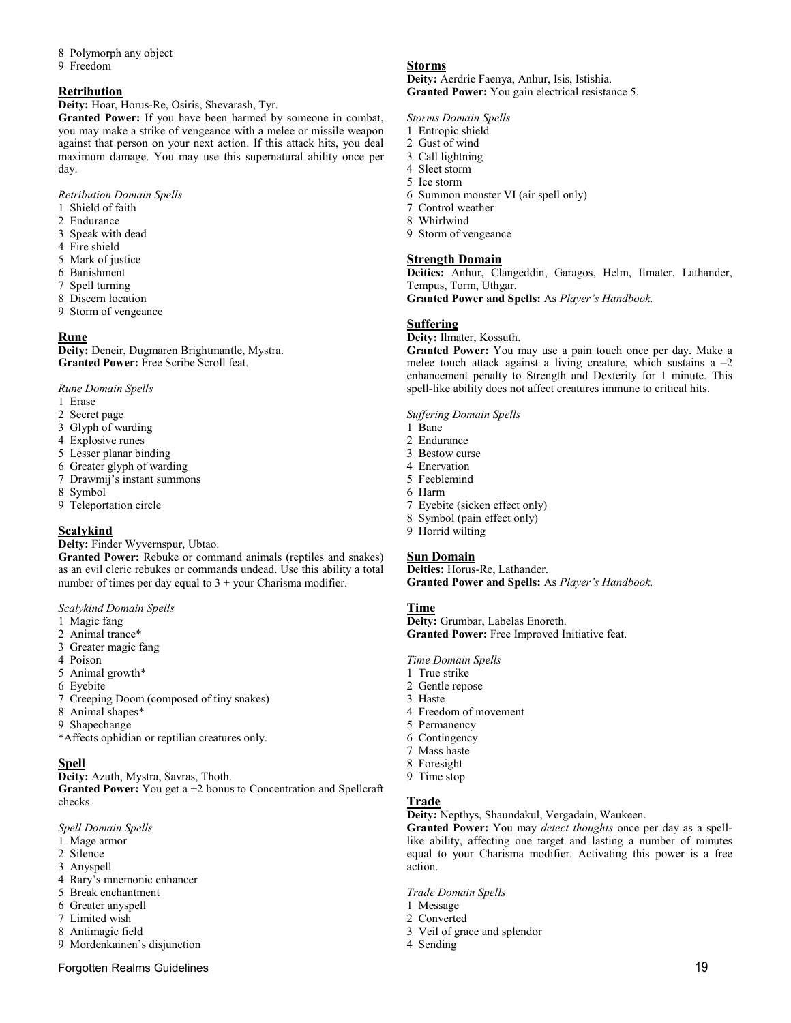8 Polymorph any object

9 Freedom

# **Retribution**

### **Deity:** Hoar, Horus-Re, Osiris, Shevarash, Tyr.

**Granted Power:** If you have been harmed by someone in combat, you may make a strike of vengeance with a melee or missile weapon against that person on your next action. If this attack hits, you deal maximum damage. You may use this supernatural ability once per day.

*Retribution Domain Spells* 

- 1 Shield of faith
- 2 Endurance
- 3 Speak with dead
- 4 Fire shield
- 5 Mark of justice
- 6 Banishment
- 7 Spell turning
- 8 Discern location
- 9 Storm of vengeance

# **Rune**

**Deity:** Deneir, Dugmaren Brightmantle, Mystra. **Granted Power:** Free Scribe Scroll feat.

*Rune Domain Spells* 

- 1 Erase
- 2 Secret page
- 3 Glyph of warding
- 4 Explosive runes
- 5 Lesser planar binding
- 6 Greater glyph of warding
- 7 Drawmij's instant summons
- 8 Symbol
- 9 Teleportation circle

# **Scalykind**

**Deity:** Finder Wyvernspur, Ubtao.

**Granted Power:** Rebuke or command animals (reptiles and snakes) as an evil cleric rebukes or commands undead. Use this ability a total number of times per day equal to  $3 +$ your Charisma modifier.

*Scalykind Domain Spells*

- 1 Magic fang
- 2 Animal trance\*
- 3 Greater magic fang
- 4 Poison
- 5 Animal growth\*
- 6 Eyebite
- 7 Creeping Doom (composed of tiny snakes)
- 8 Animal shapes\*
- 9 Shapechange
- \*Affects ophidian or reptilian creatures only.

# **Spell**

**Deity:** Azuth, Mystra, Savras, Thoth. **Granted Power:** You get a +2 bonus to Concentration and Spellcraft checks.

*Spell Domain Spells* 

- 1 Mage armor
- 2 Silence
- 3 Anyspell
- 4 Rary's mnemonic enhancer
- 5 Break enchantment
- 6 Greater anyspell
- 7 Limited wish
- 8 Antimagic field
- 9 Mordenkainen's disjunction

# Forgotten Realms Guidelines 19

# **Storms**

**Deity:** Aerdrie Faenya, Anhur, Isis, Istishia. **Granted Power:** You gain electrical resistance 5.

*Storms Domain Spells* 

- 1 Entropic shield
- 2 Gust of wind
- 3 Call lightning
- 4 Sleet storm
- 5 Ice storm
- 6 Summon monster VI (air spell only)
- 7 Control weather
- 8 Whirlwind
- 9 Storm of vengeance

# **Strength Domain**

**Deities:** Anhur, Clangeddin, Garagos, Helm, Ilmater, Lathander, Tempus, Torm, Uthgar.

**Granted Power and Spells:** As *Player's Handbook.* 

# **Suffering**

#### **Deity:** Ilmater, Kossuth.

**Granted Power:** You may use a pain touch once per day. Make a melee touch attack against a living creature, which sustains a  $-2$ enhancement penalty to Strength and Dexterity for 1 minute. This spell-like ability does not affect creatures immune to critical hits.

*Suffering Domain Spells* 

- 1 Bane
- 2 Endurance
- 3 Bestow curse
- 4 Enervation
- 5 Feeblemind
- 6 Harm
- 7 Eyebite (sicken effect only)
- 8 Symbol (pain effect only)
- 9 Horrid wilting

# **Sun Domain**

**Deities:** Horus-Re, Lathander. **Granted Power and Spells:** As *Player's Handbook.* 

#### **Time**

**Deity:** Grumbar, Labelas Enoreth. **Granted Power:** Free Improved Initiative feat.

*Time Domain Spells* 

- 1 True strike
- 2 Gentle repose
- 3 Haste
- 4 Freedom of movement
- 5 Permanency
- 6 Contingency
- 7 Mass haste
- 8 Foresight
- 9 Time stop

# **Trade**

**Deity:** Nepthys, Shaundakul, Vergadain, Waukeen.

**Granted Power:** You may *detect thoughts* once per day as a spelllike ability, affecting one target and lasting a number of minutes equal to your Charisma modifier. Activating this power is a free action.

*Trade Domain Spells*  1 Message

3 Veil of grace and splendor

2 Converted

4 Sending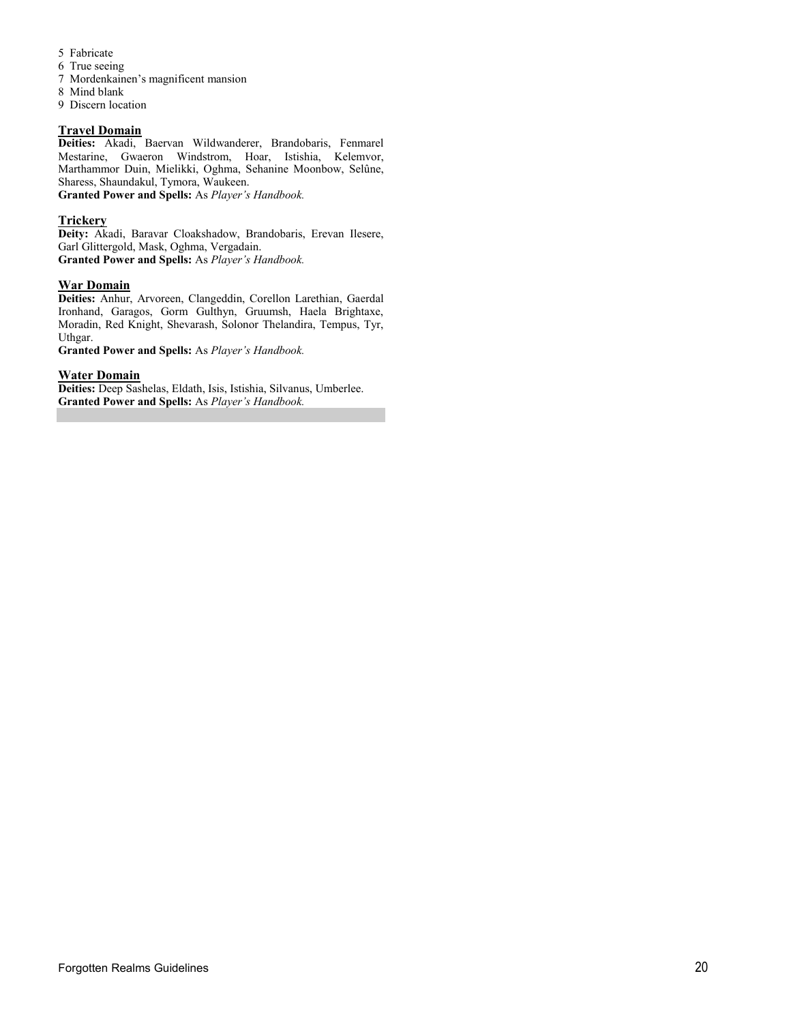- 5 Fabricate
- 6 True seeing
- 7 Mordenkainen's magnificent mansion
- 8 Mind blank
- 9 Discern location

# **Travel Domain**

**Deities:** Akadi, Baervan Wildwanderer, Brandobaris, Fenmarel Mestarine, Gwaeron Windstrom, Hoar, Istishia, Kelemvor, Marthammor Duin, Mielikki, Oghma, Sehanine Moonbow, Selûne, Sharess, Shaundakul, Tymora, Waukeen. **Granted Power and Spells:** As *Player's Handbook.* 

# **Trickery**

**Deity:** Akadi, Baravar Cloakshadow, Brandobaris, Erevan Ilesere, Garl Glittergold, Mask, Oghma, Vergadain. **Granted Power and Spells:** As *Player's Handbook.* 

# **War Domain**

**Deities:** Anhur, Arvoreen, Clangeddin, Corellon Larethian, Gaerdal Ironhand, Garagos, Gorm Gulthyn, Gruumsh, Haela Brightaxe, Moradin, Red Knight, Shevarash, Solonor Thelandira, Tempus, Tyr, Uthgar.

**Granted Power and Spells:** As *Player's Handbook.* 

# **Water Domain**

**Deities:** Deep Sashelas, Eldath, Isis, Istishia, Silvanus, Umberlee. **Granted Power and Spells:** As *Player's Handbook.*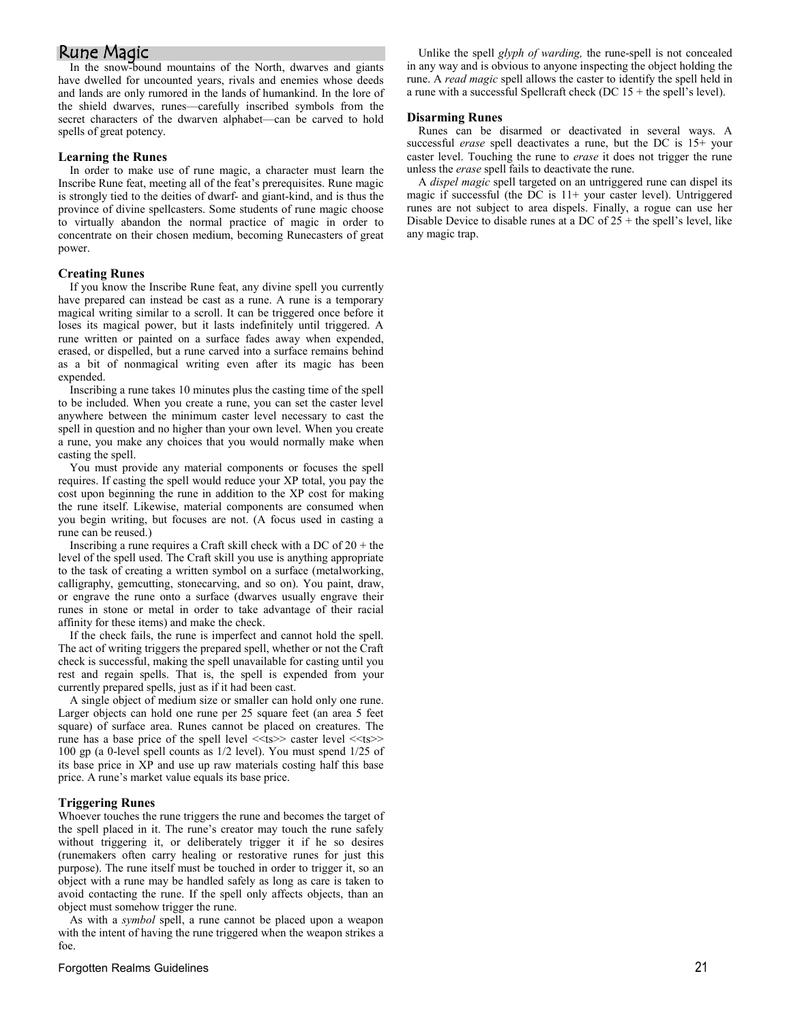**Rune Magic In the snow-bound mountains of the North, dwarves and giants** have dwelled for uncounted years, rivals and enemies whose deeds and lands are only rumored in the lands of humankind. In the lore of the shield dwarves, runes—carefully inscribed symbols from the secret characters of the dwarven alphabet—can be carved to hold spells of great potency.

### **Learning the Runes**

 In order to make use of rune magic, a character must learn the Inscribe Rune feat, meeting all of the feat's prerequisites. Rune magic is strongly tied to the deities of dwarf- and giant-kind, and is thus the province of divine spellcasters. Some students of rune magic choose to virtually abandon the normal practice of magic in order to concentrate on their chosen medium, becoming Runecasters of great power.

# **Creating Runes**

 If you know the Inscribe Rune feat, any divine spell you currently have prepared can instead be cast as a rune. A rune is a temporary magical writing similar to a scroll. It can be triggered once before it loses its magical power, but it lasts indefinitely until triggered. A rune written or painted on a surface fades away when expended, erased, or dispelled, but a rune carved into a surface remains behind as a bit of nonmagical writing even after its magic has been expended.

Inscribing a rune takes 10 minutes plus the casting time of the spell to be included. When you create a rune, you can set the caster level anywhere between the minimum caster level necessary to cast the spell in question and no higher than your own level. When you create a rune, you make any choices that you would normally make when casting the spell.

 You must provide any material components or focuses the spell requires. If casting the spell would reduce your XP total, you pay the cost upon beginning the rune in addition to the XP cost for making the rune itself. Likewise, material components are consumed when you begin writing, but focuses are not. (A focus used in casting a rune can be reused.)

Inscribing a rune requires a Craft skill check with a DC of  $20 +$  the level of the spell used. The Craft skill you use is anything appropriate to the task of creating a written symbol on a surface (metalworking, calligraphy, gemcutting, stonecarving, and so on). You paint, draw, or engrave the rune onto a surface (dwarves usually engrave their runes in stone or metal in order to take advantage of their racial affinity for these items) and make the check.

 If the check fails, the rune is imperfect and cannot hold the spell. The act of writing triggers the prepared spell, whether or not the Craft check is successful, making the spell unavailable for casting until you rest and regain spells. That is, the spell is expended from your currently prepared spells, just as if it had been cast.

 A single object of medium size or smaller can hold only one rune. Larger objects can hold one rune per 25 square feet (an area 5 feet square) of surface area. Runes cannot be placed on creatures. The rune has a base price of the spell level  $\langle$ ts>> caster level  $\langle$ ts>> 100 gp (a 0-level spell counts as 1/2 level). You must spend 1/25 of its base price in XP and use up raw materials costing half this base price. A rune's market value equals its base price.

#### **Triggering Runes**

Whoever touches the rune triggers the rune and becomes the target of the spell placed in it. The rune's creator may touch the rune safely without triggering it, or deliberately trigger it if he so desires (runemakers often carry healing or restorative runes for just this purpose). The rune itself must be touched in order to trigger it, so an object with a rune may be handled safely as long as care is taken to avoid contacting the rune. If the spell only affects objects, than an object must somehow trigger the rune.

 As with a *symbol* spell, a rune cannot be placed upon a weapon with the intent of having the rune triggered when the weapon strikes a foe.

 Unlike the spell *glyph of warding,* the rune-spell is not concealed in any way and is obvious to anyone inspecting the object holding the rune. A *read magic* spell allows the caster to identify the spell held in a rune with a successful Spellcraft check (DC  $15 +$  the spell's level).

#### **Disarming Runes**

 Runes can be disarmed or deactivated in several ways. A successful *erase* spell deactivates a rune, but the DC is 15+ your caster level. Touching the rune to *erase* it does not trigger the rune unless the *erase* spell fails to deactivate the rune.

 A *dispel magic* spell targeted on an untriggered rune can dispel its magic if successful (the DC is  $11+$  your caster level). Untriggered runes are not subject to area dispels. Finally, a rogue can use her Disable Device to disable runes at a DC of  $25 +$  the spell's level, like any magic trap.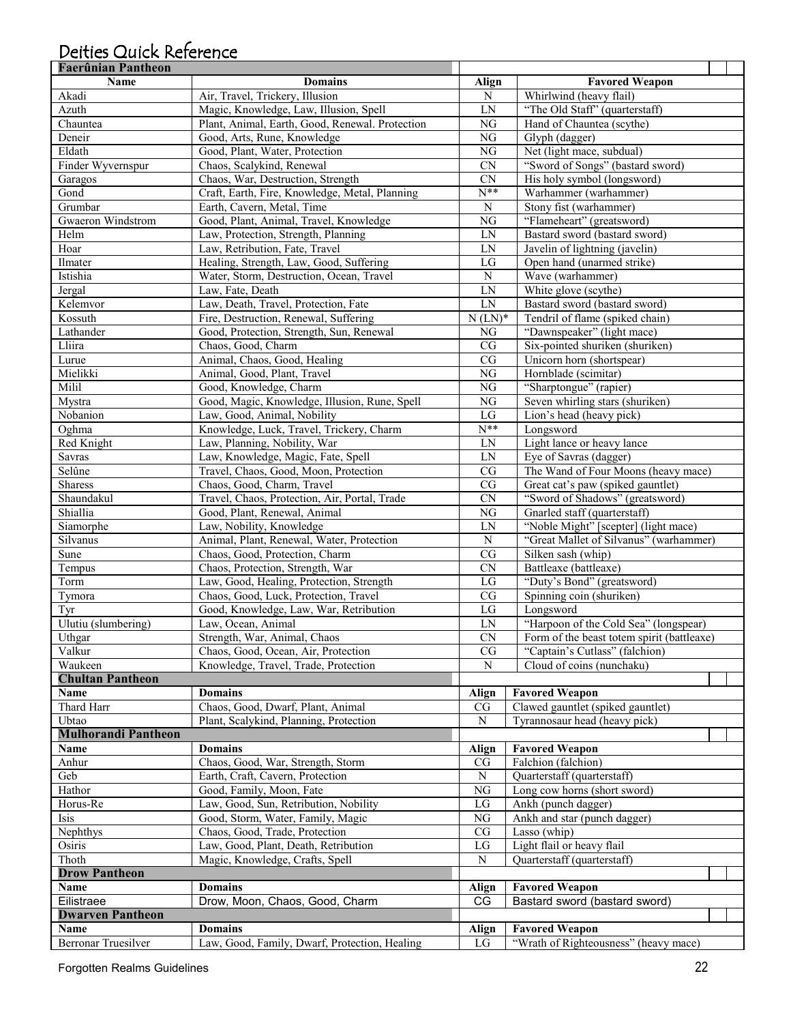# Deities Quick Reference

| <b>Faerûnian Pantheon</b>  |                                                                             |                        |                                                             |
|----------------------------|-----------------------------------------------------------------------------|------------------------|-------------------------------------------------------------|
| $\overline{\mathbf{Name}}$ | <b>Domains</b>                                                              | Align                  | <b>Favored Weapon</b>                                       |
| Akadi                      | Air, Travel, Trickery, Illusion                                             | N                      | Whirlwind (heavy flail)                                     |
| Azuth                      | Magic, Knowledge, Law, Illusion, Spell                                      | LN                     | "The Old Staff" (quarterstaff)                              |
| Chauntea                   | Plant, Animal, Earth, Good, Renewal. Protection                             | NG                     | Hand of Chauntea (scythe)                                   |
| Deneir                     | Good, Arts, Rune, Knowledge                                                 | NG                     | Glyph (dagger)                                              |
| Eldath                     | Good, Plant, Water, Protection                                              | ${\rm NG}$             | Net (light mace, subdual)                                   |
| Finder Wyvernspur          | Chaos, Scalykind, Renewal                                                   | $\overline{\text{CN}}$ | "Sword of Songs" (bastard sword)                            |
| Garagos                    | Chaos, War, Destruction, Strength                                           | $\overline{\text{CN}}$ | His holy symbol (longsword)                                 |
| Gond                       | Craft, Earth, Fire, Knowledge, Metal, Planning                              | $N^{**}$               | Warhammer (warhammer)                                       |
| Grumbar                    | Earth, Cavern, Metal, Time                                                  | ${\bf N}$              | Stony fist (warhammer)                                      |
| Gwaeron Windstrom          | Good, Plant, Animal, Travel, Knowledge                                      | NG                     | "Flameheart" (greatsword)                                   |
| Helm                       | Law, Protection, Strength, Planning                                         | LN                     | Bastard sword (bastard sword)                               |
| Hoar                       | Law, Retribution, Fate, Travel                                              | <b>LN</b>              | Javelin of lightning (javelin)                              |
| Ilmater                    | Healing, Strength, Law, Good, Suffering                                     | LG                     | Open hand (unarmed strike)                                  |
| Istishia                   | Water, Storm, Destruction, Ocean, Travel                                    | ${\bf N}$              | Wave (warhammer)                                            |
| Jergal                     | Law, Fate, Death                                                            | <b>LN</b>              | White glove (scythe)                                        |
| Kelemvor                   | Law, Death, Travel, Protection, Fate                                        | LN                     | Bastard sword (bastard sword)                               |
| Kossuth                    | Fire, Destruction, Renewal, Suffering                                       | $N$ (LN) <sup>*</sup>  | Tendril of flame (spiked chain)                             |
| Lathander                  | Good, Protection, Strength, Sun, Renewal                                    | NG                     | "Dawnspeaker" (light mace)                                  |
| Lliira                     | Chaos, Good, Charm                                                          | $\rm{CG}$              | Six-pointed shuriken (shuriken)                             |
| Lurue                      | Animal, Chaos, Good, Healing                                                | CG                     | Unicorn horn (shortspear)                                   |
| Mielikki                   | Animal, Good, Plant, Travel                                                 | $\overline{\text{NG}}$ | Hornblade (scimitar)                                        |
| Milil                      | Good, Knowledge, Charm                                                      | $\overline{\text{NG}}$ | "Sharptongue" (rapier)                                      |
| Mystra                     | Good, Magic, Knowledge, Illusion, Rune, Spell                               | NG                     | Seven whirling stars (shuriken)                             |
| Nobanion                   | Law, Good, Animal, Nobility                                                 | LG                     | Lion's head (heavy pick)                                    |
| Oghma                      | Knowledge, Luck, Travel, Trickery, Charm                                    | $N^{\ast\ast}$         | Longsword                                                   |
| Red Knight                 | Law, Planning, Nobility, War                                                | LN                     | Light lance or heavy lance                                  |
| Savras                     | Law, Knowledge, Magic, Fate, Spell                                          | <b>LN</b>              | Eye of Savras (dagger)                                      |
| Selûne                     | Travel, Chaos, Good, Moon, Protection                                       | CG                     | The Wand of Four Moons (heavy mace)                         |
| Sharess                    | Chaos, Good, Charm, Travel                                                  | $\rm{CG}$              | Great cat's paw (spiked gauntlet)                           |
| Shaundakul                 | Travel, Chaos, Protection, Air, Portal, Trade                               | $\overline{\text{CN}}$ | "Sword of Shadows" (greatsword)                             |
| Shiallia                   | Good, Plant, Renewal, Animal                                                | $\overline{\text{NG}}$ | Gnarled staff (quarterstaff)                                |
| Siamorphe                  | Law, Nobility, Knowledge                                                    | LN                     | "Noble Might" [scepter] (light mace)                        |
| Silvanus                   | Animal, Plant, Renewal, Water, Protection                                   | ${\bf N}$              | "Great Mallet of Silvanus" (warhammer)                      |
| Sune                       | Chaos, Good, Protection, Charm                                              | $\overline{\text{CG}}$ | Silken sash (whip)                                          |
| Tempus                     | Chaos, Protection, Strength, War                                            | <b>CN</b>              | Battleaxe (battleaxe)                                       |
| Torm                       | Law, Good, Healing, Protection, Strength                                    | LG                     | "Duty's Bond" (greatsword)                                  |
| Tymora                     | Chaos, Good, Luck, Protection, Travel                                       | $\overline{\text{CG}}$ | Spinning coin (shuriken)                                    |
| Tyr<br>Ulutiu (slumbering) | Good, Knowledge, Law, War, Retribution<br>Law, Ocean, Animal                | ${\rm LG}$<br>LN       | Longsword<br>"Harpoon of the Cold Sea" (longspear)          |
| Uthgar                     | Strength, War, Animal, Chaos                                                | <b>CN</b>              | Form of the beast totem spirit (battleaxe)                  |
| Valkur                     |                                                                             |                        |                                                             |
| Waukeen                    | Chaos, Good, Ocean, Air, Protection<br>Knowledge, Travel, Trade, Protection | CG<br>N                | "Captain's Cutlass" (falchion)<br>Cloud of coins (nunchaku) |
| <b>Chultan Pantheon</b>    |                                                                             |                        |                                                             |
| <b>Name</b>                | <b>Domains</b>                                                              | Align                  | <b>Favored Weapon</b>                                       |
| Thard Harr                 | Chaos, Good, Dwarf, Plant, Animal                                           | CG                     | Clawed gauntlet (spiked gauntlet)                           |
| Ubtao                      | Plant, Scalykind, Planning, Protection                                      | N                      | Tyrannosaur head (heavy pick)                               |
| <b>Mulhorandi Pantheon</b> |                                                                             |                        |                                                             |
| Name                       | <b>Domains</b>                                                              | Align                  | <b>Favored Weapon</b>                                       |
| Anhur                      | Chaos, Good, War, Strength, Storm                                           | CG                     | Falchion (falchion)                                         |
| Geb                        | Earth, Craft, Cavern, Protection                                            | $\mathbf N$            | Quarterstaff (quarterstaff)                                 |
| Hathor                     | Good, Family, Moon, Fate                                                    | NG                     | Long cow horns (short sword)                                |
| Horus-Re                   | Law, Good, Sun, Retribution, Nobility                                       | LG                     | Ankh (punch dagger)                                         |
| Isis                       | Good, Storm, Water, Family, Magic                                           | NG                     | Ankh and star (punch dagger)                                |
| Nephthys                   | Chaos, Good, Trade, Protection                                              | $\rm{CG}$              | Lasso (whip)                                                |
| Osiris                     | Law, Good, Plant, Death, Retribution                                        | LG                     | Light flail or heavy flail                                  |
| Thoth                      | Magic, Knowledge, Crafts, Spell                                             | ${\bf N}$              | Quarterstaff (quarterstaff)                                 |
| <b>Drow Pantheon</b>       |                                                                             |                        |                                                             |
| Name                       | <b>Domains</b>                                                              | Align                  | <b>Favored Weapon</b>                                       |
| Eilistraee                 | Drow, Moon, Chaos, Good, Charm                                              | CG                     | Bastard sword (bastard sword)                               |
| <b>Dwarven Pantheon</b>    |                                                                             |                        |                                                             |
| Name                       | <b>Domains</b>                                                              | Align                  | <b>Favored Weapon</b>                                       |
| <b>Berronar Truesilver</b> | Law, Good, Family, Dwarf, Protection, Healing                               | $_{\rm LG}$            | "Wrath of Righteousness" (heavy mace)                       |